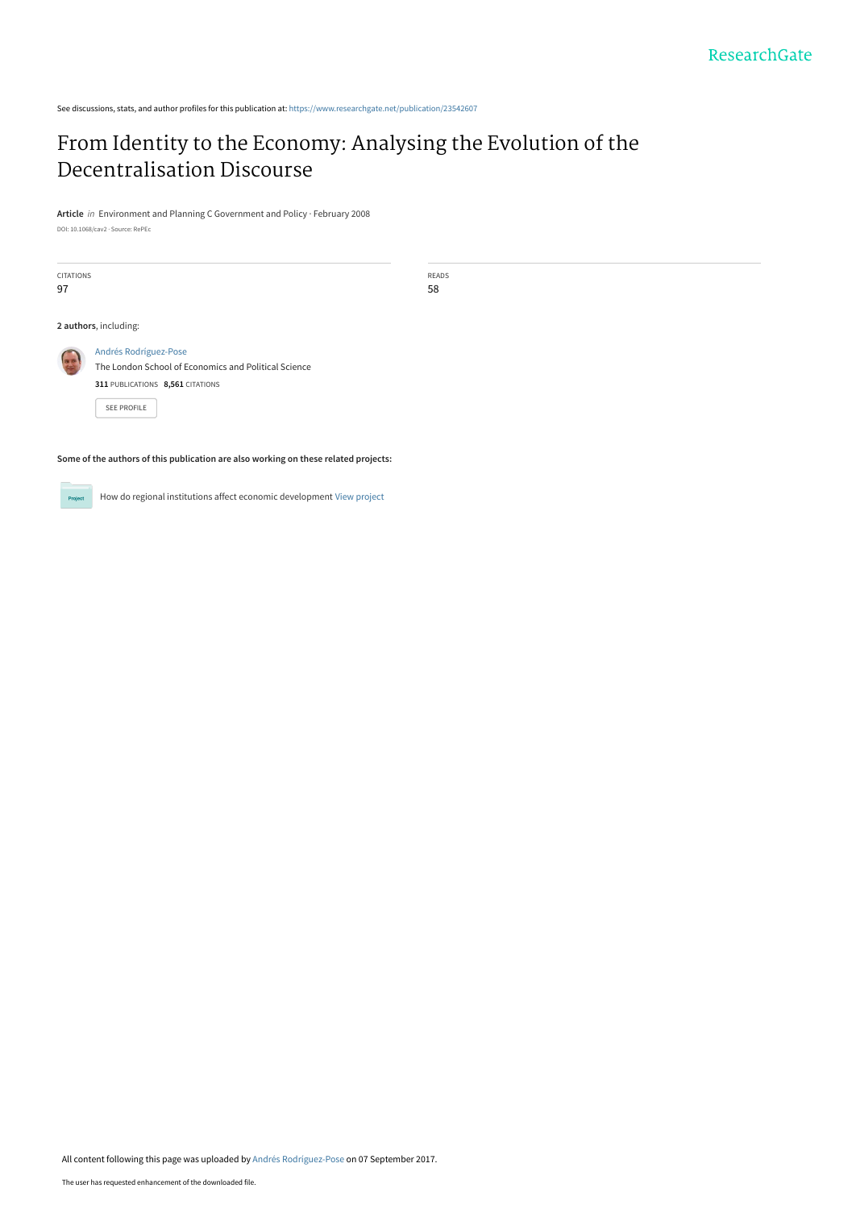See discussions, stats, and author profiles for this publication at: [https://www.researchgate.net/publication/23542607](https://www.researchgate.net/publication/23542607_From_Identity_to_the_Economy_Analysing_the_Evolution_of_the_Decentralisation_Discourse?enrichId=rgreq-65c097b7711b6d9d592c9c9de4df1a87-XXX&enrichSource=Y292ZXJQYWdlOzIzNTQyNjA3O0FTOjUzNTc1MjM1ODc0NDA3MEAxNTA0NzQ0NzI0Mzgz&el=1_x_2&_esc=publicationCoverPdf)

# [From Identity to the Economy: Analysing the Evolution of the](https://www.researchgate.net/publication/23542607_From_Identity_to_the_Economy_Analysing_the_Evolution_of_the_Decentralisation_Discourse?enrichId=rgreq-65c097b7711b6d9d592c9c9de4df1a87-XXX&enrichSource=Y292ZXJQYWdlOzIzNTQyNjA3O0FTOjUzNTc1MjM1ODc0NDA3MEAxNTA0NzQ0NzI0Mzgz&el=1_x_3&_esc=publicationCoverPdf) Decentralisation Discourse

**Article** in Environment and Planning C Government and Policy · February 2008 DOI: 10.1068/cav2 · Source: RePEc

CITATIONS 97

READS 58

**2 authors**, including:



[Andrés Rodríguez-Pose](https://www.researchgate.net/profile/Andres_Rodriguez-Pose?enrichId=rgreq-65c097b7711b6d9d592c9c9de4df1a87-XXX&enrichSource=Y292ZXJQYWdlOzIzNTQyNjA3O0FTOjUzNTc1MjM1ODc0NDA3MEAxNTA0NzQ0NzI0Mzgz&el=1_x_5&_esc=publicationCoverPdf) [The London School of Economics and Political Science](https://www.researchgate.net/institution/The_London_School_of_Economics_and_Political_Science?enrichId=rgreq-65c097b7711b6d9d592c9c9de4df1a87-XXX&enrichSource=Y292ZXJQYWdlOzIzNTQyNjA3O0FTOjUzNTc1MjM1ODc0NDA3MEAxNTA0NzQ0NzI0Mzgz&el=1_x_6&_esc=publicationCoverPdf) **311** PUBLICATIONS **8,561** CITATIONS [SEE PROFILE](https://www.researchgate.net/profile/Andres_Rodriguez-Pose?enrichId=rgreq-65c097b7711b6d9d592c9c9de4df1a87-XXX&enrichSource=Y292ZXJQYWdlOzIzNTQyNjA3O0FTOjUzNTc1MjM1ODc0NDA3MEAxNTA0NzQ0NzI0Mzgz&el=1_x_7&_esc=publicationCoverPdf)

**Some of the authors of this publication are also working on these related projects:**



How do regional institutions affect economic development [View project](https://www.researchgate.net/project/How-do-regional-institutions-affect-economic-development?enrichId=rgreq-65c097b7711b6d9d592c9c9de4df1a87-XXX&enrichSource=Y292ZXJQYWdlOzIzNTQyNjA3O0FTOjUzNTc1MjM1ODc0NDA3MEAxNTA0NzQ0NzI0Mzgz&el=1_x_9&_esc=publicationCoverPdf)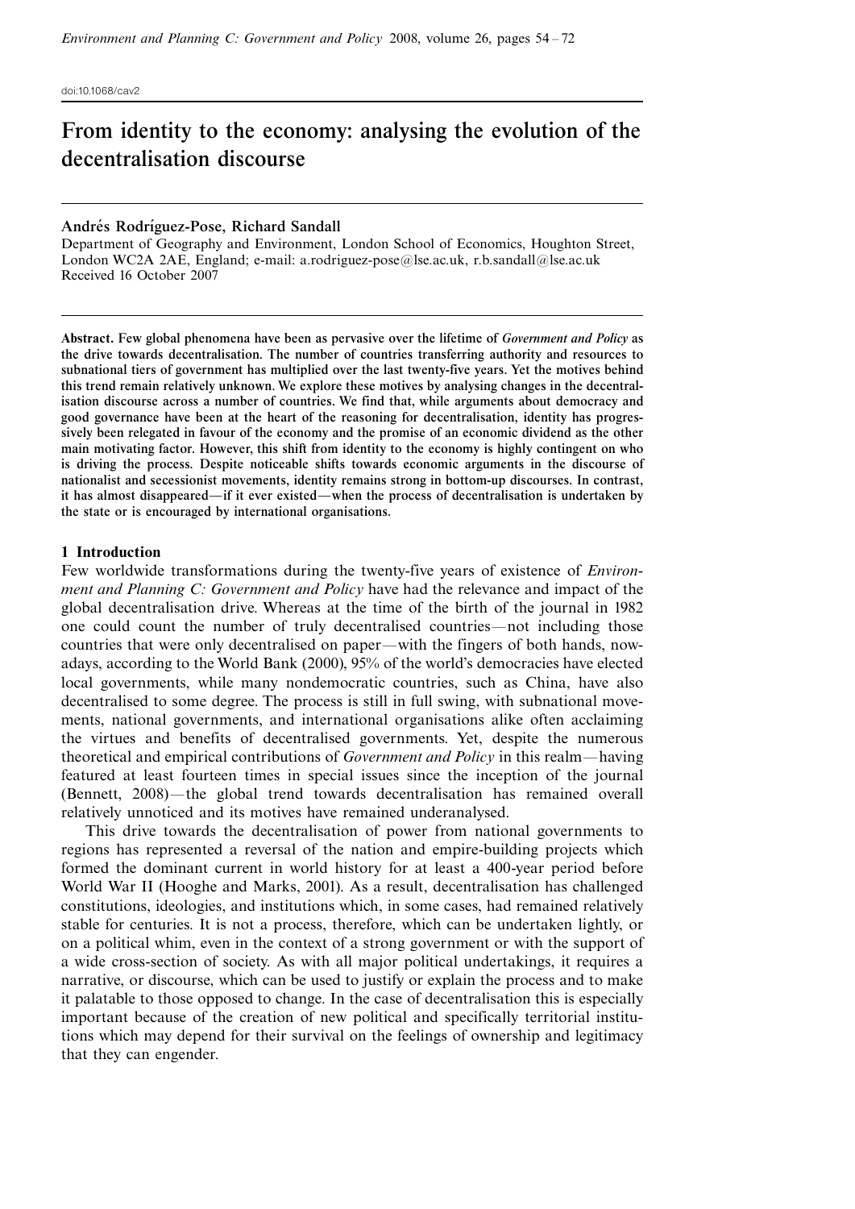doi:10.1068/cav2

## From identity to the economy: analysing the evolution of the decentralisation discourse

#### Andrés Rodríguez-Pose, Richard Sandall

Department of Geography and Environment, London School of Economics, Houghton Street, London WC2A 2AE, England; e-mail: a.rodriguez-pose@lse.ac.uk, r.b.sandall@lse.ac.uk Received 16 October 2007

Abstract. Few global phenomena have been as pervasive over the lifetime of *Government and Policy* as the drive towards decentralisation. The number of countries transferring authority and resources to subnational tiers of government has multiplied over the last twenty-five years. Yet the motives behind this trend remain relatively unknown. We explore these motives by analysing changes in the decentralisation discourse across a number of countries. We find that, while arguments about democracy and good governance have been at the heart of the reasoning for decentralisation, identity has progressively been relegated in favour of the economy and the promise of an economic dividend as the other main motivating factor. However, this shift from identity to the economy is highly contingent on who is driving the process. Despite noticeable shifts towards economic arguments in the discourse of nationalist and secessionist movements, identity remains strong in bottom-up discourses. In contrast, it has almost disappeared—if it ever existed—when the process of decentralisation is undertaken by the state or is encouraged by international organisations.

#### 1 Introduction

Few worldwide transformations during the twenty-five years of existence of Environment and Planning C: Government and Policy have had the relevance and impact of the global decentralisation drive. Whereas at the time of the birth of the journal in 1982 one could count the number of truly decentralised countries—not including those countries that were only decentralised on paper—with the fingers of both hands, nowadays, according to the World Bank (2000), 95% of the world's democracies have elected local governments, while many nondemocratic countries, such as China, have also decentralised to some degree. The process is still in full swing, with subnational movements, national governments, and international organisations alike often acclaiming the virtues and benefits of decentralised governments. Yet, despite the numerous theoretical and empirical contributions of *Government and Policy* in this realm—having featured at least fourteen times in special issues since the inception of the journal (Bennett, 2008)—the global trend towards decentralisation has remained overall relatively unnoticed and its motives have remained underanalysed.

This drive towards the decentralisation of power from national governments to regions has represented a reversal of the nation and empire-building projects which formed the dominant current in world history for at least a 400-year period before World War II (Hooghe and Marks, 2001). As a result, decentralisation has challenged constitutions, ideologies, and institutions which, in some cases, had remained relatively stable for centuries. It is not a process, therefore, which can be undertaken lightly, or on a political whim, even in the context of a strong government or with the support of a wide cross-section of society. As with all major political undertakings, it requires a narrative, or discourse, which can be used to justify or explain the process and to make it palatable to those opposed to change. In the case of decentralisation this is especially important because of the creation of new political and specifically territorial institutions which may depend for their survival on the feelings of ownership and legitimacy that they can engender.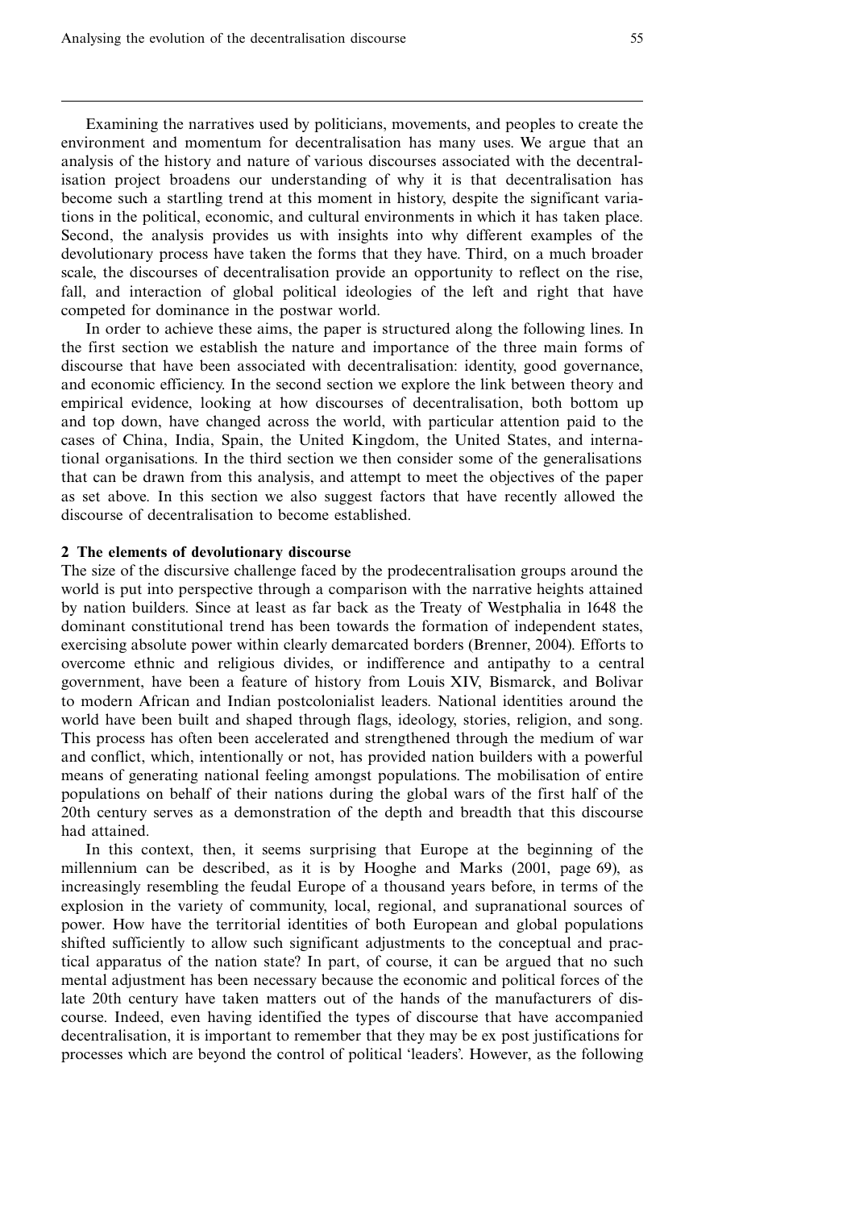Examining the narratives used by politicians, movements, and peoples to create the environment and momentum for decentralisation has many uses. We argue that an analysis of the history and nature of various discourses associated with the decentralisation project broadens our understanding of why it is that decentralisation has become such a startling trend at this moment in history, despite the significant variations in the political, economic, and cultural environments in which it has taken place. Second, the analysis provides us with insights into why different examples of the devolutionary process have taken the forms that they have. Third, on a much broader scale, the discourses of decentralisation provide an opportunity to reflect on the rise, fall, and interaction of global political ideologies of the left and right that have competed for dominance in the postwar world.

In order to achieve these aims, the paper is structured along the following lines. In the first section we establish the nature and importance of the three main forms of discourse that have been associated with decentralisation: identity, good governance, and economic efficiency. In the second section we explore the link between theory and empirical evidence, looking at how discourses of decentralisation, both bottom up and top down, have changed across the world, with particular attention paid to the cases of China, India, Spain, the United Kingdom, the United States, and international organisations. In the third section we then consider some of the generalisations that can be drawn from this analysis, and attempt to meet the objectives of the paper as set above. In this section we also suggest factors that have recently allowed the discourse of decentralisation to become established.

#### 2 The elements of devolutionary discourse

The size of the discursive challenge faced by the prodecentralisation groups around the world is put into perspective through a comparison with the narrative heights attained by nation builders. Since at least as far back as the Treaty of Westphalia in 1648 the dominant constitutional trend has been towards the formation of independent states, exercising absolute power within clearly demarcated borders (Brenner, 2004). Efforts to overcome ethnic and religious divides, or indifference and antipathy to a central government, have been a feature of history from Louis XIV, Bismarck, and Bolivar to modern African and Indian postcolonialist leaders. National identities around the world have been built and shaped through flags, ideology, stories, religion, and song. This process has often been accelerated and strengthened through the medium of war and conflict, which, intentionally or not, has provided nation builders with a powerful means of generating national feeling amongst populations. The mobilisation of entire populations on behalf of their nations during the global wars of the first half of the 20th century serves as a demonstration of the depth and breadth that this discourse had attained.

In this context, then, it seems surprising that Europe at the beginning of the millennium can be described, as it is by Hooghe and Marks (2001, page 69), as increasingly resembling the feudal Europe of a thousand years before, in terms of the explosion in the variety of community, local, regional, and supranational sources of power. How have the territorial identities of both European and global populations shifted sufficiently to allow such significant adjustments to the conceptual and practical apparatus of the nation state? In part, of course, it can be argued that no such mental adjustment has been necessary because the economic and political forces of the late 20th century have taken matters out of the hands of the manufacturers of discourse. Indeed, even having identified the types of discourse that have accompanied decentralisation, it is important to remember that they may be ex post justifications for processes which are beyond the control of political `leaders'. However, as the following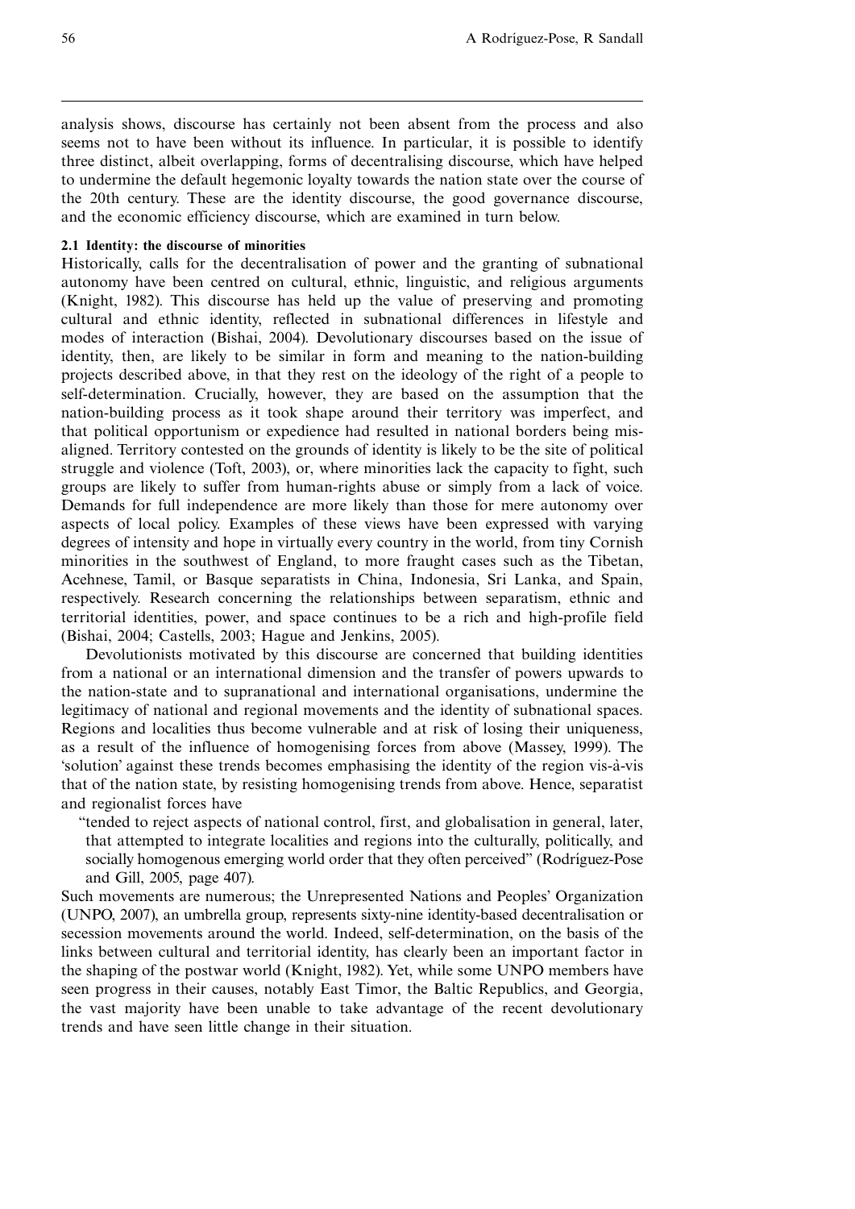analysis shows, discourse has certainly not been absent from the process and also seems not to have been without its influence. In particular, it is possible to identify three distinct, albeit overlapping, forms of decentralising discourse, which have helped to undermine the default hegemonic loyalty towards the nation state over the course of the 20th century. These are the identity discourse, the good governance discourse, and the economic efficiency discourse, which are examined in turn below.

### 2.1 Identity: the discourse of minorities

Historically, calls for the decentralisation of power and the granting of subnational autonomy have been centred on cultural, ethnic, linguistic, and religious arguments (Knight, 1982). This discourse has held up the value of preserving and promoting cultural and ethnic identity, reflected in subnational differences in lifestyle and modes of interaction (Bishai, 2004). Devolutionary discourses based on the issue of identity, then, are likely to be similar in form and meaning to the nation-building projects described above, in that they rest on the ideology of the right of a people to self-determination. Crucially, however, they are based on the assumption that the nation-building process as it took shape around their territory was imperfect, and that political opportunism or expedience had resulted in national borders being misaligned. Territory contested on the grounds of identity is likely to be the site of political struggle and violence (Toft, 2003), or, where minorities lack the capacity to fight, such groups are likely to suffer from human-rights abuse or simply from a lack of voice. Demands for full independence are more likely than those for mere autonomy over aspects of local policy. Examples of these views have been expressed with varying degrees of intensity and hope in virtually every country in the world, from tiny Cornish minorities in the southwest of England, to more fraught cases such as the Tibetan, Acehnese, Tamil, or Basque separatists in China, Indonesia, Sri Lanka, and Spain, respectively. Research concerning the relationships between separatism, ethnic and territorial identities, power, and space continues to be a rich and high-profile field (Bishai, 2004; Castells, 2003; Hague and Jenkins, 2005).

Devolutionists motivated by this discourse are concerned that building identities from a national or an international dimension and the transfer of powers upwards to the nation-state and to supranational and international organisations, undermine the legitimacy of national and regional movements and the identity of subnational spaces. Regions and localities thus become vulnerable and at risk of losing their uniqueness, as a result of the influence of homogenising forces from above (Massey, 1999). The `solution' against these trends becomes emphasising the identity of the region vis-a©-vis that of the nation state, by resisting homogenising trends from above. Hence, separatist and regionalist forces have

``tended to reject aspects of national control, first, and globalisation in general, later, that attempted to integrate localities and regions into the culturally, politically, and socially homogenous emerging world order that they often perceived" (Rodríguez-Pose and Gill, 2005, page 407).

Such movements are numerous; the Unrepresented Nations and Peoples' Organization (UNPO, 2007), an umbrella group, represents sixty-nine identity-based decentralisation or secession movements around the world. Indeed, self-determination, on the basis of the links between cultural and territorial identity, has clearly been an important factor in the shaping of the postwar world (Knight, 1982). Yet, while some UNPO members have seen progress in their causes, notably East Timor, the Baltic Republics, and Georgia, the vast majority have been unable to take advantage of the recent devolutionary trends and have seen little change in their situation.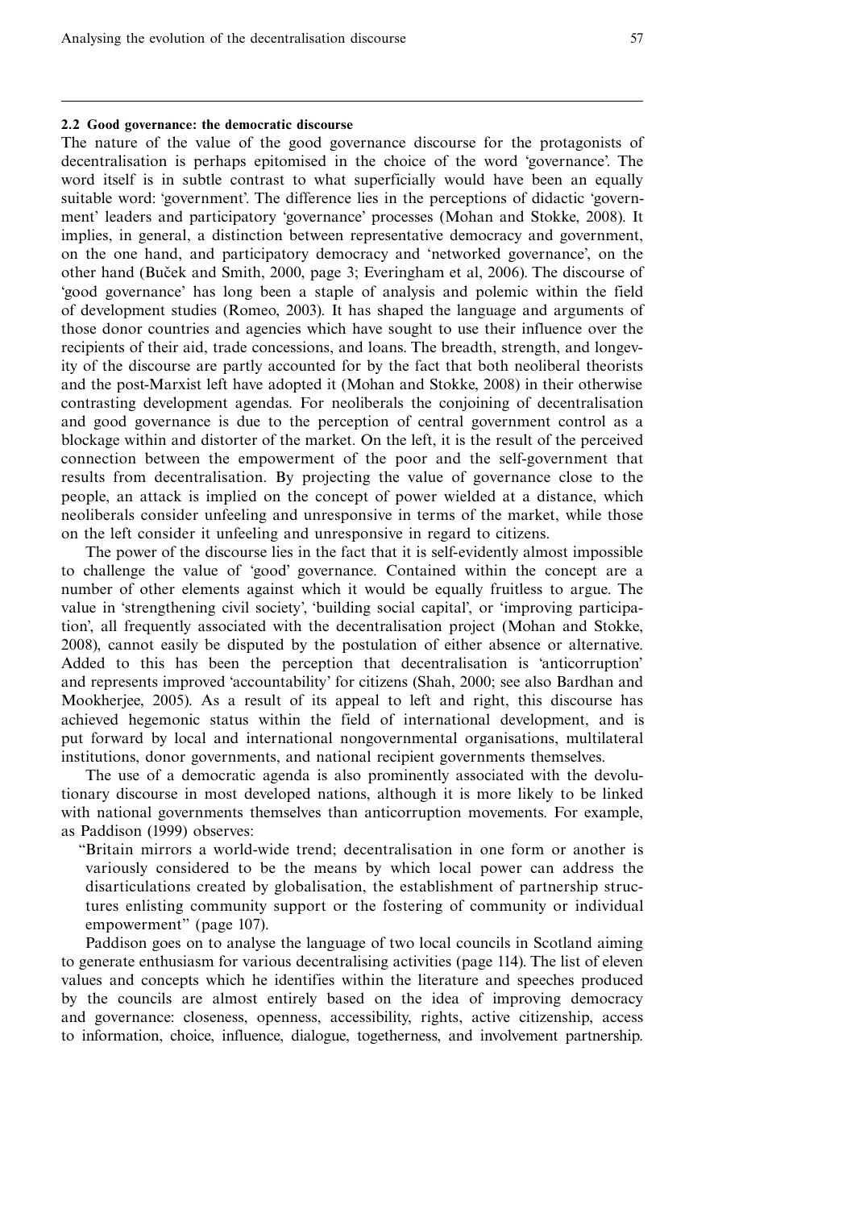## 2.2 Good governance: the democratic discourse

The nature of the value of the good governance discourse for the protagonists of decentralisation is perhaps epitomised in the choice of the word `governance'. The word itself is in subtle contrast to what superficially would have been an equally suitable word: 'government'. The difference lies in the perceptions of didactic 'government' leaders and participatory `governance' processes (Mohan and Stokke, 2008). It implies, in general, a distinction between representative democracy and government, on the one hand, and participatory democracy and `networked governance', on the other hand (Bucek and Smith, 2000, page 3; Everingham et al, 2006). The discourse of `good governance' has long been a staple of analysis and polemic within the field of development studies (Romeo, 2003). It has shaped the language and arguments of those donor countries and agencies which have sought to use their influence over the recipients of their aid, trade concessions, and loans. The breadth, strength, and longevity of the discourse are partly accounted for by the fact that both neoliberal theorists and the post-Marxist left have adopted it (Mohan and Stokke, 2008) in their otherwise contrasting development agendas. For neoliberals the conjoining of decentralisation and good governance is due to the perception of central government control as a blockage within and distorter of the market. On the left, it is the result of the perceived connection between the empowerment of the poor and the self-government that results from decentralisation. By projecting the value of governance close to the people, an attack is implied on the concept of power wielded at a distance, which neoliberals consider unfeeling and unresponsive in terms of the market, while those on the left consider it unfeeling and unresponsive in regard to citizens.

The power of the discourse lies in the fact that it is self-evidently almost impossible to challenge the value of `good' governance. Contained within the concept are a number of other elements against which it would be equally fruitless to argue. The value in 'strengthening civil society', 'building social capital', or 'improving participation', all frequently associated with the decentralisation project (Mohan and Stokke, 2008), cannot easily be disputed by the postulation of either absence or alternative. Added to this has been the perception that decentralisation is `anticorruption' and represents improved `accountability' for citizens (Shah, 2000; see also Bardhan and Mookherjee, 2005). As a result of its appeal to left and right, this discourse has achieved hegemonic status within the field of international development, and is put forward by local and international nongovernmental organisations, multilateral institutions, donor governments, and national recipient governments themselves.

The use of a democratic agenda is also prominently associated with the devolutionary discourse in most developed nations, although it is more likely to be linked with national governments themselves than anticorruption movements. For example, as Paddison (1999) observes:

``Britain mirrors a world-wide trend; decentralisation in one form or another is variously considered to be the means by which local power can address the disarticulations created by globalisation, the establishment of partnership structures enlisting community support or the fostering of community or individual empowerment" (page 107).

Paddison goes on to analyse the language of two local councils in Scotland aiming to generate enthusiasm for various decentralising activities (page 114). The list of eleven values and concepts which he identifies within the literature and speeches produced by the councils are almost entirely based on the idea of improving democracy and governance: closeness, openness, accessibility, rights, active citizenship, access to information, choice, influence, dialogue, togetherness, and involvement partnership.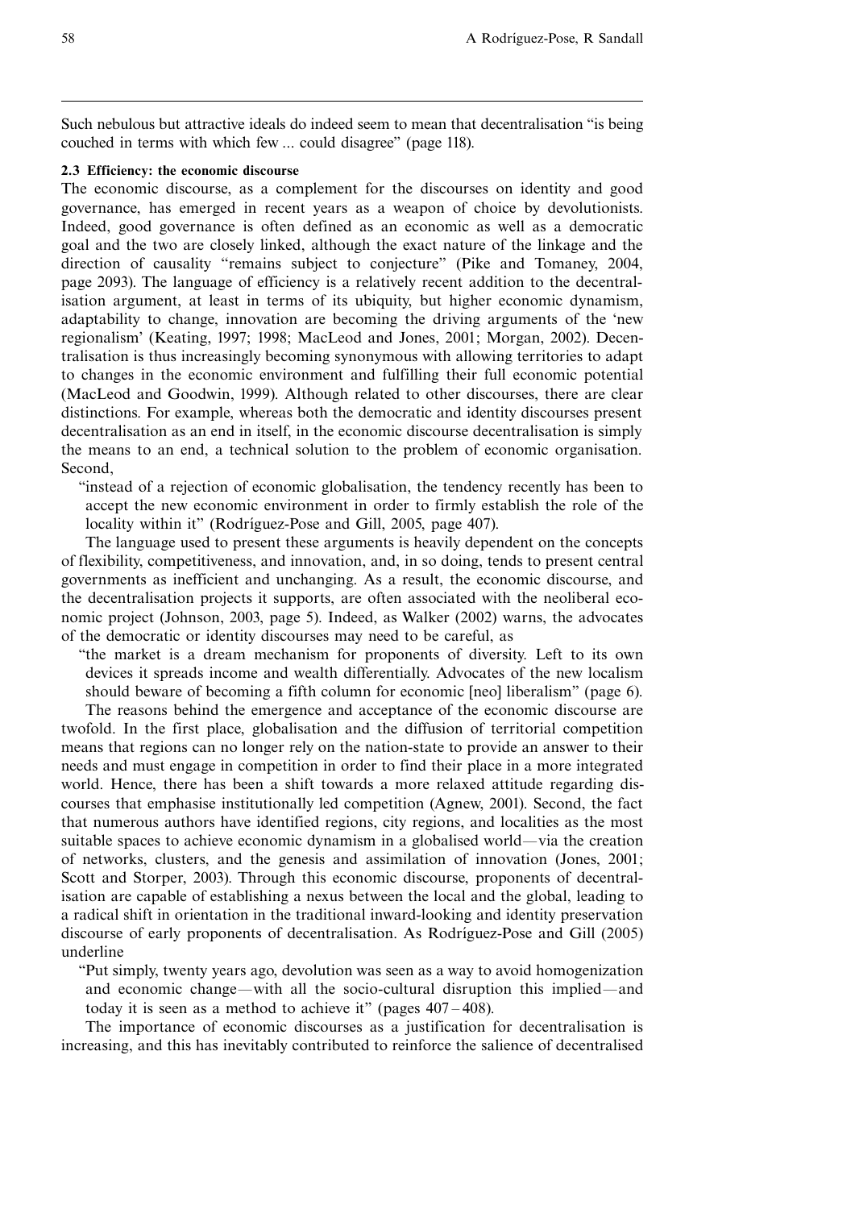Such nebulous but attractive ideals do indeed seem to mean that decentralisation "is being couched in terms with which few ... could disagree'' (page 118).

#### 2.3 Efficiency: the economic discourse

The economic discourse, as a complement for the discourses on identity and good governance, has emerged in recent years as a weapon of choice by devolutionists. Indeed, good governance is often defined as an economic as well as a democratic goal and the two are closely linked, although the exact nature of the linkage and the direction of causality "remains subject to conjecture" (Pike and Tomaney, 2004, page 2093). The language of efficiency is a relatively recent addition to the decentralisation argument, at least in terms of its ubiquity, but higher economic dynamism, adaptability to change, innovation are becoming the driving arguments of the `new regionalism' (Keating, 1997; 1998; MacLeod and Jones, 2001; Morgan, 2002). Decentralisation is thus increasingly becoming synonymous with allowing territories to adapt to changes in the economic environment and fulfilling their full economic potential (MacLeod and Goodwin, 1999). Although related to other discourses, there are clear distinctions. For example, whereas both the democratic and identity discourses present decentralisation as an end in itself, in the economic discourse decentralisation is simply the means to an end, a technical solution to the problem of economic organisation. Second,

``instead of a rejection of economic globalisation, the tendency recently has been to accept the new economic environment in order to firmly establish the role of the locality within it" (Rodríguez-Pose and Gill, 2005, page 407).

The language used to present these arguments is heavily dependent on the concepts of flexibility, competitiveness, and innovation, and, in so doing, tends to present central governments as inefficient and unchanging. As a result, the economic discourse, and the decentralisation projects it supports, are often associated with the neoliberal economic project (Johnson, 2003, page 5). Indeed, as Walker (2002) warns, the advocates of the democratic or identity discourses may need to be careful, as

``the market is a dream mechanism for proponents of diversity. Left to its own devices it spreads income and wealth differentially. Advocates of the new localism should beware of becoming a fifth column for economic [neo] liberalism'' (page 6).

The reasons behind the emergence and acceptance of the economic discourse are twofold. In the first place, globalisation and the diffusion of territorial competition means that regions can no longer rely on the nation-state to provide an answer to their needs and must engage in competition in order to find their place in a more integrated world. Hence, there has been a shift towards a more relaxed attitude regarding discourses that emphasise institutionally led competition (Agnew, 2001). Second, the fact that numerous authors have identified regions, city regions, and localities as the most suitable spaces to achieve economic dynamism in a globalised world—via the creation of networks, clusters, and the genesis and assimilation of innovation (Jones, 2001; Scott and Storper, 2003). Through this economic discourse, proponents of decentralisation are capable of establishing a nexus between the local and the global, leading to a radical shift in orientation in the traditional inward-looking and identity preservation discourse of early proponents of decentralisation. As Rodríguez-Pose and Gill (2005) underline

``Put simply, twenty years ago, devolution was seen as a way to avoid homogenization and economic change—with all the socio-cultural disruption this implied—and today it is seen as a method to achieve it" (pages  $407 - 408$ ).

The importance of economic discourses as a justification for decentralisation is increasing, and this has inevitably contributed to reinforce the salience of decentralised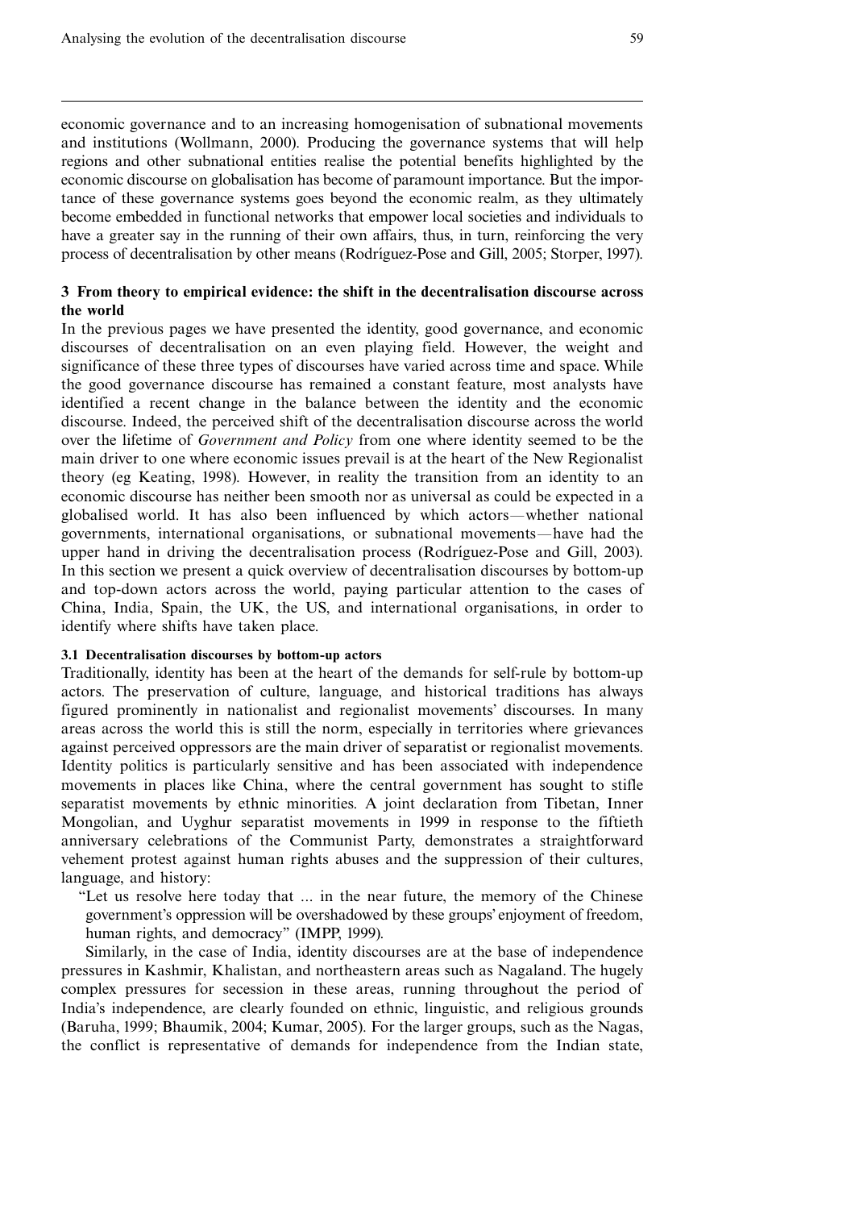economic governance and to an increasing homogenisation of subnational movements and institutions (Wollmann, 2000). Producing the governance systems that will help regions and other subnational entities realise the potential benefits highlighted by the economic discourse on globalisation has become of paramount importance. But the importance of these governance systems goes beyond the economic realm, as they ultimately become embedded in functional networks that empower local societies and individuals to have a greater say in the running of their own affairs, thus, in turn, reinforcing the very process of decentralisation by other means (Rodríguez-Pose and Gill, 2005; Storper, 1997).

## 3 From theory to empirical evidence: the shift in the decentralisation discourse across the world

In the previous pages we have presented the identity, good governance, and economic discourses of decentralisation on an even playing field. However, the weight and significance of these three types of discourses have varied across time and space. While the good governance discourse has remained a constant feature, most analysts have identified a recent change in the balance between the identity and the economic discourse. Indeed, the perceived shift of the decentralisation discourse across the world over the lifetime of *Government and Policy* from one where identity seemed to be the main driver to one where economic issues prevail is at the heart of the New Regionalist theory (eg Keating, 1998). However, in reality the transition from an identity to an economic discourse has neither been smooth nor as universal as could be expected in a globalised world. It has also been influenced by which actors—whether national governments, international organisations, or subnational movements—have had the upper hand in driving the decentralisation process (Rodríguez-Pose and Gill, 2003). In this section we present a quick overview of decentralisation discourses by bottom-up and top-down actors across the world, paying particular attention to the cases of China, India, Spain, the UK, the US, and international organisations, in order to identify where shifts have taken place.

#### 3.1 Decentralisation discourses by bottom-up actors

Traditionally, identity has been at the heart of the demands for self-rule by bottom-up actors. The preservation of culture, language, and historical traditions has always figured prominently in nationalist and regionalist movements' discourses. In many areas across the world this is still the norm, especially in territories where grievances against perceived oppressors are the main driver of separatist or regionalist movements. Identity politics is particularly sensitive and has been associated with independence movements in places like China, where the central government has sought to stifle separatist movements by ethnic minorities. A joint declaration from Tibetan, Inner Mongolian, and Uyghur separatist movements in 1999 in response to the fiftieth anniversary celebrations of the Communist Party, demonstrates a straightforward vehement protest against human rights abuses and the suppression of their cultures, language, and history:

"Let us resolve here today that ... in the near future, the memory of the Chinese government's oppression will be overshadowed by these groups' enjoyment of freedom, human rights, and democracy'' (IMPP, 1999).

Similarly, in the case of India, identity discourses are at the base of independence pressures in Kashmir, Khalistan, and northeastern areas such as Nagaland. The hugely complex pressures for secession in these areas, running throughout the period of India's independence, are clearly founded on ethnic, linguistic, and religious grounds (Baruha, 1999; Bhaumik, 2004; Kumar, 2005). For the larger groups, such as the Nagas, the conflict is representative of demands for independence from the Indian state,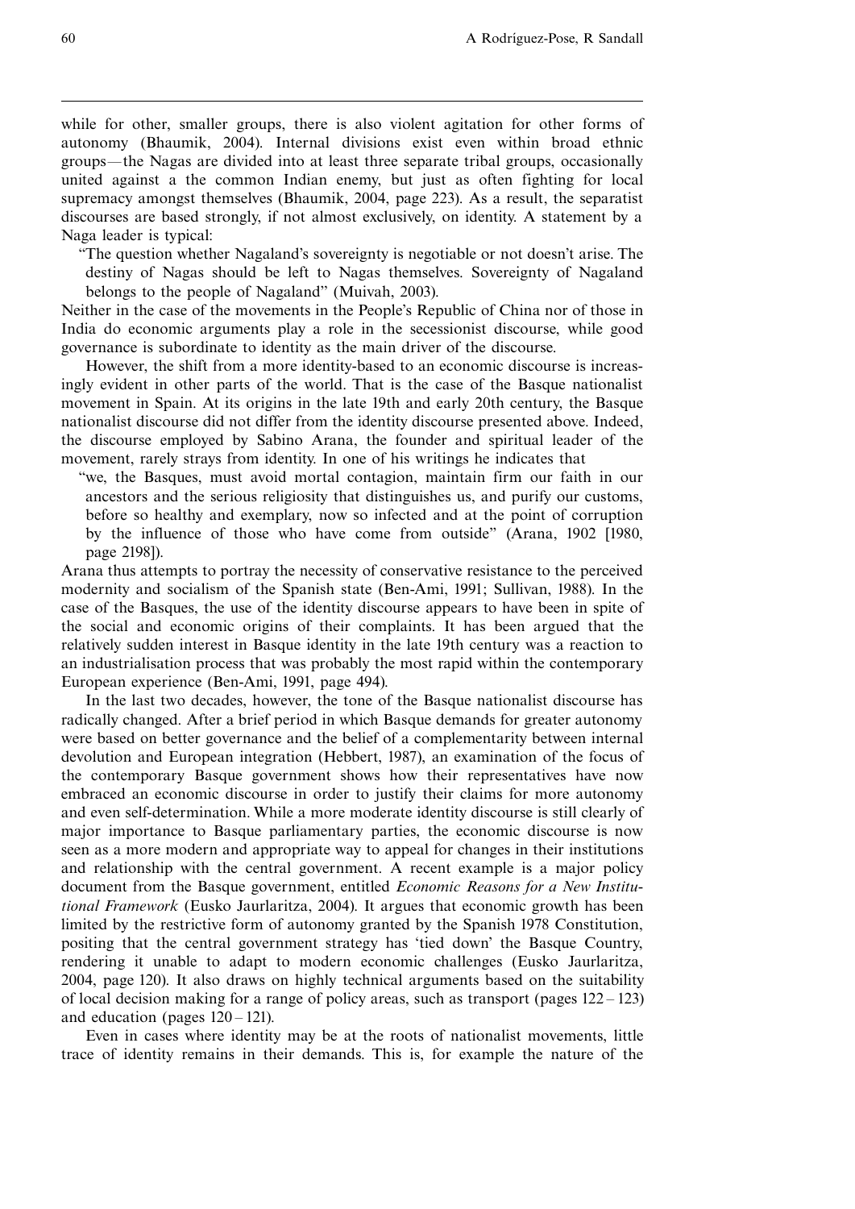while for other, smaller groups, there is also violent agitation for other forms of autonomy (Bhaumik, 2004). Internal divisions exist even within broad ethnic groups—the Nagas are divided into at least three separate tribal groups, occasionally united against a the common Indian enemy, but just as often fighting for local supremacy amongst themselves (Bhaumik, 2004, page 223). As a result, the separatist discourses are based strongly, if not almost exclusively, on identity. A statement by a Naga leader is typical:

``The question whether Nagaland's sovereignty is negotiable or not doesn't arise. The destiny of Nagas should be left to Nagas themselves. Sovereignty of Nagaland belongs to the people of Nagaland'' (Muivah, 2003).

Neither in the case of the movements in the People's Republic of China nor of those in India do economic arguments play a role in the secessionist discourse, while good governance is subordinate to identity as the main driver of the discourse.

However, the shift from a more identity-based to an economic discourse is increasingly evident in other parts of the world. That is the case of the Basque nationalist movement in Spain. At its origins in the late 19th and early 20th century, the Basque nationalist discourse did not differ from the identity discourse presented above. Indeed, the discourse employed by Sabino Arana, the founder and spiritual leader of the movement, rarely strays from identity. In one of his writings he indicates that

``we, the Basques, must avoid mortal contagion, maintain firm our faith in our ancestors and the serious religiosity that distinguishes us, and purify our customs, before so healthy and exemplary, now so infected and at the point of corruption by the influence of those who have come from outside'' (Arana, 1902 [1980, page 2198]).

Arana thus attempts to portray the necessity of conservative resistance to the perceived modernity and socialism of the Spanish state (Ben-Ami, 1991; Sullivan, 1988). In the case of the Basques, the use of the identity discourse appears to have been in spite of the social and economic origins of their complaints. It has been argued that the relatively sudden interest in Basque identity in the late 19th century was a reaction to an industrialisation process that was probably the most rapid within the contemporary European experience (Ben-Ami, 1991, page 494).

In the last two decades, however, the tone of the Basque nationalist discourse has radically changed. After a brief period in which Basque demands for greater autonomy were based on better governance and the belief of a complementarity between internal devolution and European integration (Hebbert, 1987), an examination of the focus of the contemporary Basque government shows how their representatives have now embraced an economic discourse in order to justify their claims for more autonomy and even self-determination. While a more moderate identity discourse is still clearly of major importance to Basque parliamentary parties, the economic discourse is now seen as a more modern and appropriate way to appeal for changes in their institutions and relationship with the central government. A recent example is a major policy document from the Basque government, entitled Economic Reasons for a New Institutional Framework (Eusko Jaurlaritza, 2004). It argues that economic growth has been limited by the restrictive form of autonomy granted by the Spanish 1978 Constitution, positing that the central government strategy has `tied down' the Basque Country, rendering it unable to adapt to modern economic challenges (Eusko Jaurlaritza, 2004, page 120). It also draws on highly technical arguments based on the suitability of local decision making for a range of policy areas, such as transport (pages  $122 - 123$ ) and education (pages  $120 - 121$ ).

Even in cases where identity may be at the roots of nationalist movements, little trace of identity remains in their demands. This is, for example the nature of the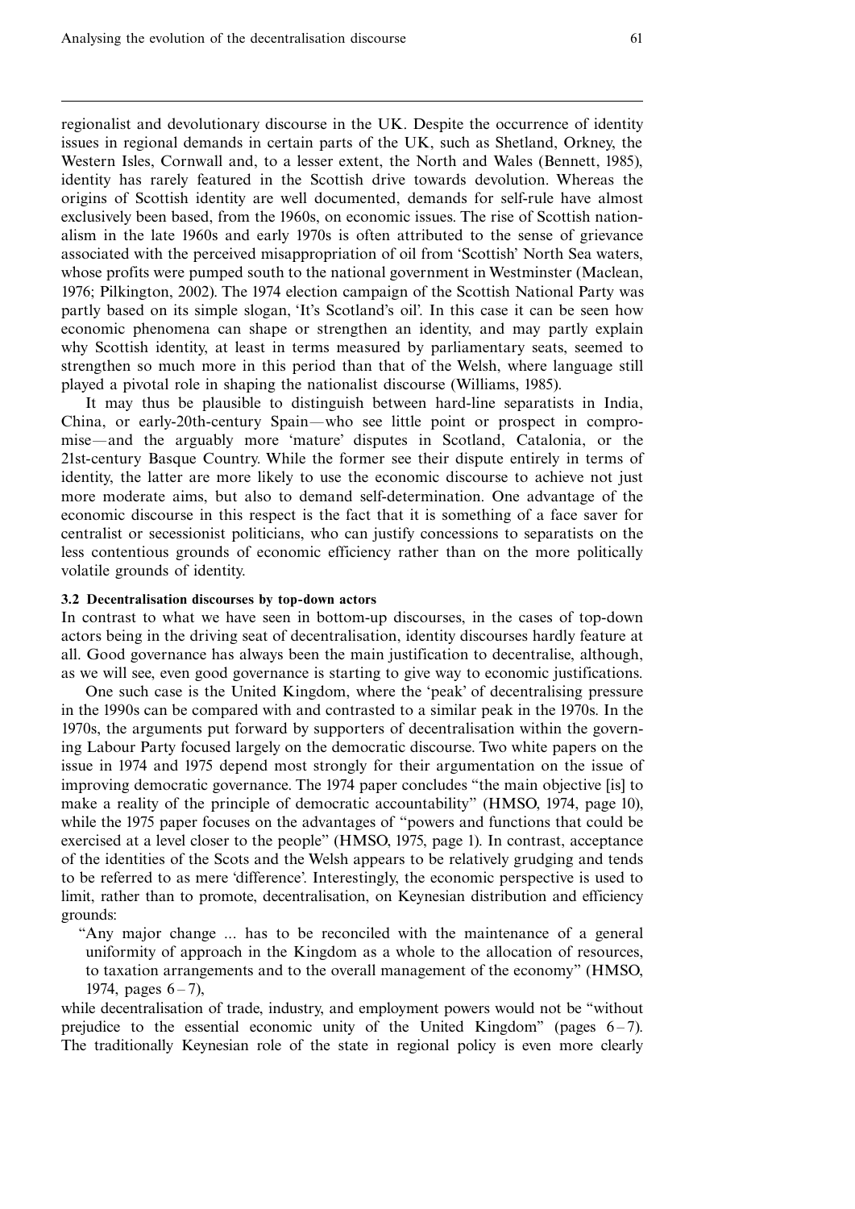regionalist and devolutionary discourse in the UK. Despite the occurrence of identity issues in regional demands in certain parts of the UK, such as Shetland, Orkney, the Western Isles, Cornwall and, to a lesser extent, the North and Wales (Bennett, 1985), identity has rarely featured in the Scottish drive towards devolution. Whereas the origins of Scottish identity are well documented, demands for self-rule have almost exclusively been based, from the 1960s, on economic issues. The rise of Scottish nationalism in the late 1960s and early 1970s is often attributed to the sense of grievance associated with the perceived misappropriation of oil from `Scottish' North Sea waters, whose profits were pumped south to the national government in Westminster (Maclean, 1976; Pilkington, 2002). The 1974 election campaign of the Scottish National Party was partly based on its simple slogan, 'It's Scotland's oil'. In this case it can be seen how economic phenomena can shape or strengthen an identity, and may partly explain why Scottish identity, at least in terms measured by parliamentary seats, seemed to strengthen so much more in this period than that of the Welsh, where language still played a pivotal role in shaping the nationalist discourse (Williams, 1985).

It may thus be plausible to distinguish between hard-line separatists in India, China, or early-20th-century Spain—who see little point or prospect in compromise—and the arguably more 'mature' disputes in Scotland, Catalonia, or the 21st-century Basque Country. While the former see their dispute entirely in terms of identity, the latter are more likely to use the economic discourse to achieve not just more moderate aims, but also to demand self-determination. One advantage of the economic discourse in this respect is the fact that it is something of a face saver for centralist or secessionist politicians, who can justify concessions to separatists on the less contentious grounds of economic efficiency rather than on the more politically volatile grounds of identity.

#### 3.2 Decentralisation discourses by top-down actors

In contrast to what we have seen in bottom-up discourses, in the cases of top-down actors being in the driving seat of decentralisation, identity discourses hardly feature at all. Good governance has always been the main justification to decentralise, although, as we will see, even good governance is starting to give way to economic justifications.

One such case is the United Kingdom, where the `peak' of decentralising pressure in the 1990s can be compared with and contrasted to a similar peak in the 1970s. In the 1970s, the arguments put forward by supporters of decentralisation within the governing Labour Party focused largely on the democratic discourse. Two white papers on the issue in 1974 and 1975 depend most strongly for their argumentation on the issue of improving democratic governance. The 1974 paper concludes "the main objective [is] to make a reality of the principle of democratic accountability'' (HMSO, 1974, page 10), while the 1975 paper focuses on the advantages of "powers and functions that could be exercised at a level closer to the people'' (HMSO, 1975, page 1). In contrast, acceptance of the identities of the Scots and the Welsh appears to be relatively grudging and tends to be referred to as mere `difference'. Interestingly, the economic perspective is used to limit, rather than to promote, decentralisation, on Keynesian distribution and efficiency grounds:

"Any major change ... has to be reconciled with the maintenance of a general uniformity of approach in the Kingdom as a whole to the allocation of resources, to taxation arrangements and to the overall management of the economy'' (HMSO, 1974, pages  $6 - 7$ ),

while decentralisation of trade, industry, and employment powers would not be "without prejudice to the essential economic unity of the United Kingdom" (pages  $6 - 7$ ). The traditionally Keynesian role of the state in regional policy is even more clearly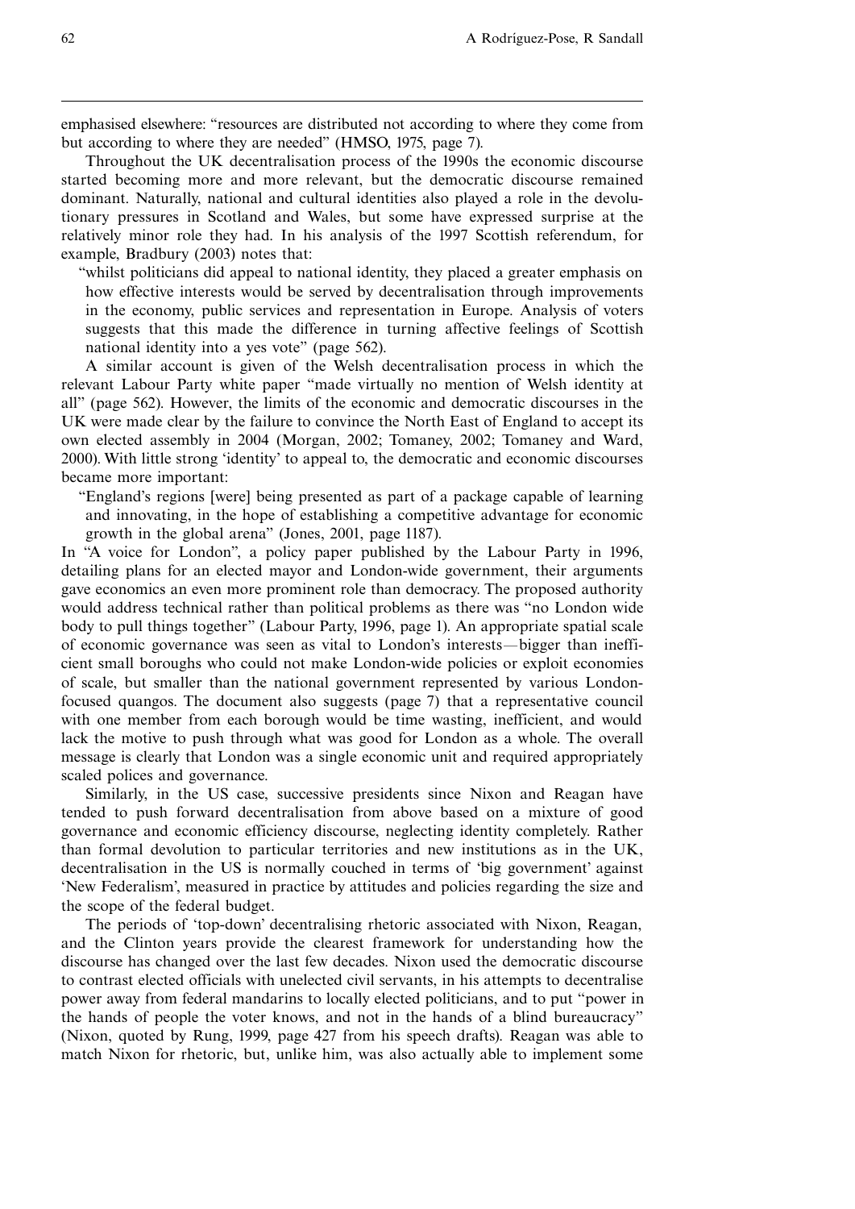emphasised elsewhere: "resources are distributed not according to where they come from but according to where they are needed'' (HMSO, 1975, page 7).

Throughout the UK decentralisation process of the 1990s the economic discourse started becoming more and more relevant, but the democratic discourse remained dominant. Naturally, national and cultural identities also played a role in the devolutionary pressures in Scotland and Wales, but some have expressed surprise at the relatively minor role they had. In his analysis of the 1997 Scottish referendum, for example, Bradbury (2003) notes that:

``whilst politicians did appeal to national identity, they placed a greater emphasis on how effective interests would be served by decentralisation through improvements in the economy, public services and representation in Europe. Analysis of voters suggests that this made the difference in turning affective feelings of Scottish national identity into a yes vote'' (page 562).

A similar account is given of the Welsh decentralisation process in which the relevant Labour Party white paper "made virtually no mention of Welsh identity at all'' (page 562). However, the limits of the economic and democratic discourses in the UK were made clear by the failure to convince the North East of England to accept its own elected assembly in 2004 (Morgan, 2002; Tomaney, 2002; Tomaney and Ward, 2000). With little strong `identity' to appeal to, the democratic and economic discourses became more important:

``England's regions [were] being presented as part of a package capable of learning and innovating, in the hope of establishing a competitive advantage for economic growth in the global arena'' (Jones, 2001, page 1187).

In "A voice for London", a policy paper published by the Labour Party in 1996, detailing plans for an elected mayor and London-wide government, their arguments gave economics an even more prominent role than democracy. The proposed authority would address technical rather than political problems as there was "no London wide body to pull things together'' (Labour Party, 1996, page 1). An appropriate spatial scale of economic governance was seen as vital to London's interests—bigger than inefficient small boroughs who could not make London-wide policies or exploit economies of scale, but smaller than the national government represented by various Londonfocused quangos. The document also suggests (page 7) that a representative council with one member from each borough would be time wasting, inefficient, and would lack the motive to push through what was good for London as a whole. The overall message is clearly that London was a single economic unit and required appropriately scaled polices and governance.

Similarly, in the US case, successive presidents since Nixon and Reagan have tended to push forward decentralisation from above based on a mixture of good governance and economic efficiency discourse, neglecting identity completely. Rather than formal devolution to particular territories and new institutions as in the UK, decentralisation in the US is normally couched in terms of `big government' against `New Federalism', measured in practice by attitudes and policies regarding the size and the scope of the federal budget.

The periods of `top-down' decentralising rhetoric associated with Nixon, Reagan, and the Clinton years provide the clearest framework for understanding how the discourse has changed over the last few decades. Nixon used the democratic discourse to contrast elected officials with unelected civil servants, in his attempts to decentralise power away from federal mandarins to locally elected politicians, and to put "power in the hands of people the voter knows, and not in the hands of a blind bureaucracy'' (Nixon, quoted by Rung, 1999, page 427 from his speech drafts). Reagan was able to match Nixon for rhetoric, but, unlike him, was also actually able to implement some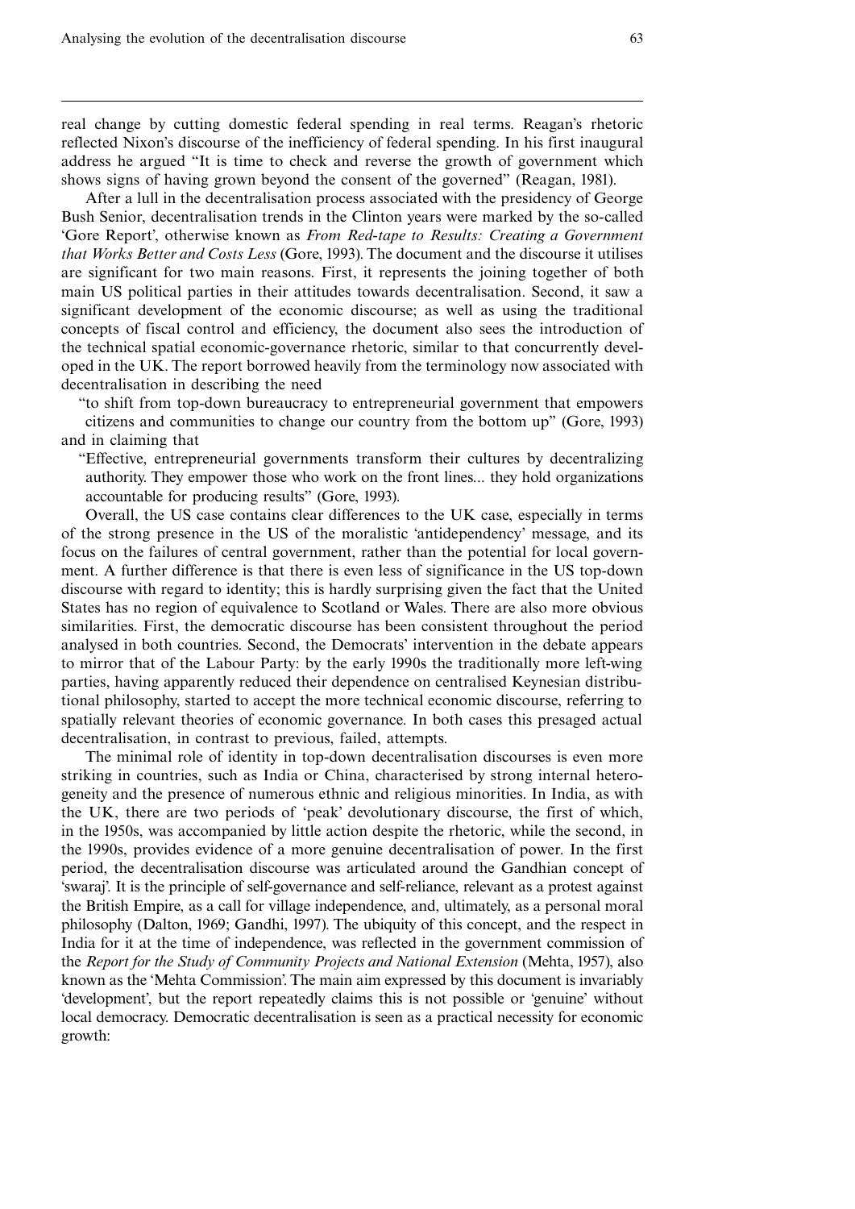real change by cutting domestic federal spending in real terms. Reagan's rhetoric reflected Nixon's discourse of the inefficiency of federal spending. In his first inaugural address he argued "It is time to check and reverse the growth of government which shows signs of having grown beyond the consent of the governed'' (Reagan, 1981).

After a lull in the decentralisation process associated with the presidency of George Bush Senior, decentralisation trends in the Clinton years were marked by the so-called `Gore Report', otherwise known as From Red-tape to Results: Creating a Government that Works Better and Costs Less (Gore, 1993). The document and the discourse it utilises are significant for two main reasons. First, it represents the joining together of both main US political parties in their attitudes towards decentralisation. Second, it saw a significant development of the economic discourse; as well as using the traditional concepts of fiscal control and efficiency, the document also sees the introduction of the technical spatial economic-governance rhetoric, similar to that concurrently developed in the UK. The report borrowed heavily from the terminology now associated with decentralisation in describing the need

``to shift from top-down bureaucracy to entrepreneurial government that empowers citizens and communities to change our country from the bottom up'' (Gore, 1993) and in claiming that

``Effective, entrepreneurial governments transform their cultures by decentralizing authority. They empower those who work on the front lines... they hold organizations accountable for producing results'' (Gore, 1993).

Overall, the US case contains clear differences to the UK case, especially in terms of the strong presence in the US of the moralistic `antidependency' message, and its focus on the failures of central government, rather than the potential for local government. A further difference is that there is even less of significance in the US top-down discourse with regard to identity; this is hardly surprising given the fact that the United States has no region of equivalence to Scotland or Wales. There are also more obvious similarities. First, the democratic discourse has been consistent throughout the period analysed in both countries. Second, the Democrats' intervention in the debate appears to mirror that of the Labour Party: by the early 1990s the traditionally more left-wing parties, having apparently reduced their dependence on centralised Keynesian distributional philosophy, started to accept the more technical economic discourse, referring to spatially relevant theories of economic governance. In both cases this presaged actual decentralisation, in contrast to previous, failed, attempts.

The minimal role of identity in top-down decentralisation discourses is even more striking in countries, such as India or China, characterised by strong internal heterogeneity and the presence of numerous ethnic and religious minorities. In India, as with the UK, there are two periods of `peak' devolutionary discourse, the first of which, in the 1950s, was accompanied by little action despite the rhetoric, while the second, in the 1990s, provides evidence of a more genuine decentralisation of power. In the first period, the decentralisation discourse was articulated around the Gandhian concept of `swaraj'. It is the principle of self-governance and self-reliance, relevant as a protest against the British Empire, as a call for village independence, and, ultimately, as a personal moral philosophy (Dalton, 1969; Gandhi, 1997). The ubiquity of this concept, and the respect in India for it at the time of independence, was reflected in the government commission of the Report for the Study of Community Projects and National Extension (Mehta, 1957), also known as the `Mehta Commission'. The main aim expressed by this document is invariably `development', but the report repeatedly claims this is not possible or `genuine' without local democracy. Democratic decentralisation is seen as a practical necessity for economic growth: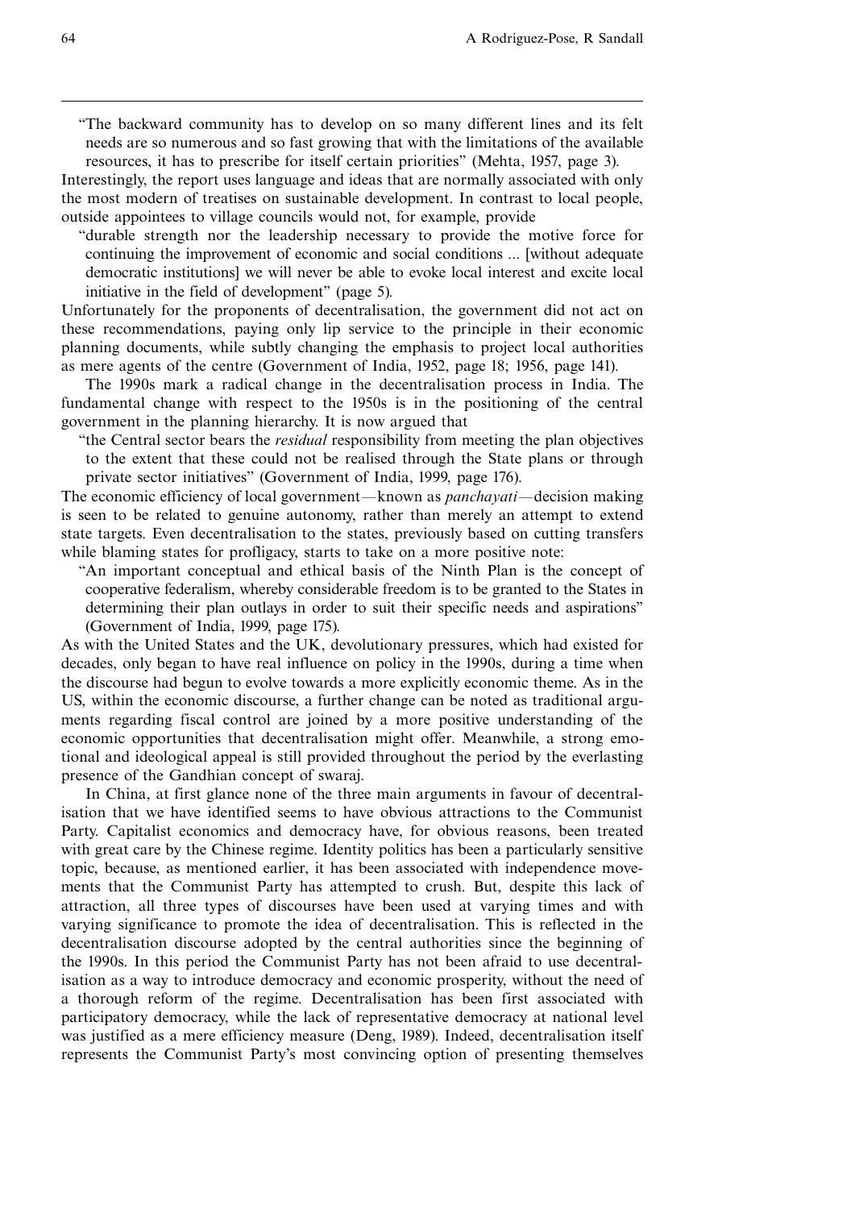``The backward community has to develop on so many different lines and its felt needs are so numerous and so fast growing that with the limitations of the available resources, it has to prescribe for itself certain priorities'' (Mehta, 1957, page 3).

Interestingly, the report uses language and ideas that are normally associated with only the most modern of treatises on sustainable development. In contrast to local people, outside appointees to village councils would not, for example, provide

``durable strength nor the leadership necessary to provide the motive force for continuing the improvement of economic and social conditions ... [without adequate democratic institutions] we will never be able to evoke local interest and excite local initiative in the field of development" (page 5).

Unfortunately for the proponents of decentralisation, the government did not act on these recommendations, paying only lip service to the principle in their economic planning documents, while subtly changing the emphasis to project local authorities as mere agents of the centre (Government of India, 1952, page 18; 1956, page 141).

The 1990s mark a radical change in the decentralisation process in India. The fundamental change with respect to the 1950s is in the positioning of the central government in the planning hierarchy. It is now argued that

"the Central sector bears the *residual* responsibility from meeting the plan objectives to the extent that these could not be realised through the State plans or through private sector initiatives'' (Government of India, 1999, page 176).

The economic efficiency of local government—known as *panchayati*—decision making is seen to be related to genuine autonomy, rather than merely an attempt to extend state targets. Even decentralisation to the states, previously based on cutting transfers while blaming states for profligacy, starts to take on a more positive note:

``An important conceptual and ethical basis of the Ninth Plan is the concept of cooperative federalism, whereby considerable freedom is to be granted to the States in determining their plan outlays in order to suit their specific needs and aspirations'' (Government of India, 1999, page 175).

As with the United States and the UK, devolutionary pressures, which had existed for decades, only began to have real influence on policy in the 1990s, during a time when the discourse had begun to evolve towards a more explicitly economic theme. As in the US, within the economic discourse, a further change can be noted as traditional arguments regarding fiscal control are joined by a more positive understanding of the economic opportunities that decentralisation might offer. Meanwhile, a strong emotional and ideological appeal is still provided throughout the period by the everlasting presence of the Gandhian concept of swaraj.

In China, at first glance none of the three main arguments in favour of decentralisation that we have identified seems to have obvious attractions to the Communist Party. Capitalist economics and democracy have, for obvious reasons, been treated with great care by the Chinese regime. Identity politics has been a particularly sensitive topic, because, as mentioned earlier, it has been associated with independence movements that the Communist Party has attempted to crush. But, despite this lack of attraction, all three types of discourses have been used at varying times and with varying significance to promote the idea of decentralisation. This is reflected in the decentralisation discourse adopted by the central authorities since the beginning of the 1990s. In this period the Communist Party has not been afraid to use decentralisation as a way to introduce democracy and economic prosperity, without the need of a thorough reform of the regime. Decentralisation has been first associated with participatory democracy, while the lack of representative democracy at national level was justified as a mere efficiency measure (Deng, 1989). Indeed, decentralisation itself represents the Communist Party's most convincing option of presenting themselves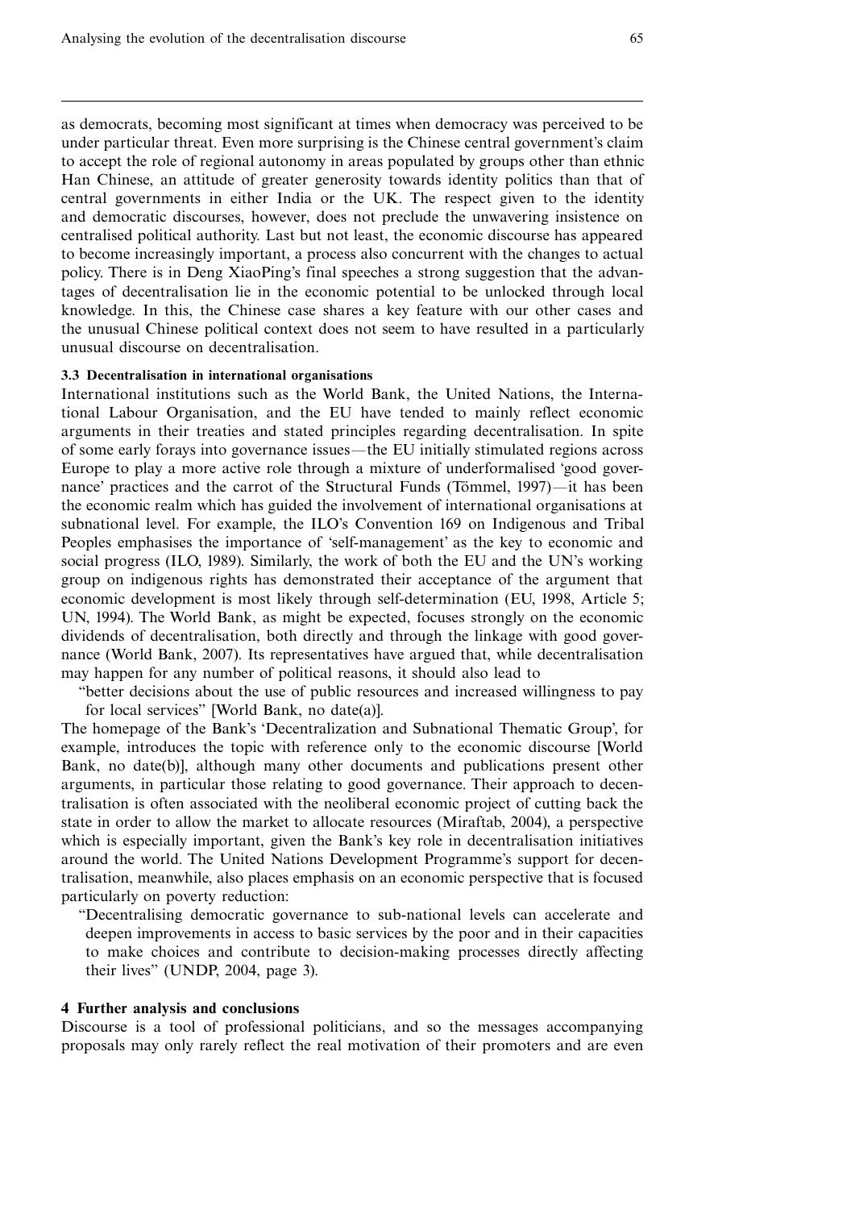as democrats, becoming most significant at times when democracy was perceived to be under particular threat. Even more surprising is the Chinese central government's claim to accept the role of regional autonomy in areas populated by groups other than ethnic Han Chinese, an attitude of greater generosity towards identity politics than that of central governments in either India or the UK. The respect given to the identity and democratic discourses, however, does not preclude the unwavering insistence on centralised political authority. Last but not least, the economic discourse has appeared to become increasingly important, a process also concurrent with the changes to actual policy. There is in Deng XiaoPing's final speeches a strong suggestion that the advantages of decentralisation lie in the economic potential to be unlocked through local knowledge. In this, the Chinese case shares a key feature with our other cases and the unusual Chinese political context does not seem to have resulted in a particularly unusual discourse on decentralisation.

#### 3.3 Decentralisation in international organisations

International institutions such as the World Bank, the United Nations, the International Labour Organisation, and the EU have tended to mainly reflect economic arguments in their treaties and stated principles regarding decentralisation. In spite of some early forays into governance issues—the EU initially stimulated regions across Europe to play a more active role through a mixture of underformalised `good governance' practices and the carrot of the Structural Funds (Tömmel, 1997)—it has been the economic realm which has guided the involvement of international organisations at subnational level. For example, the ILO's Convention 169 on Indigenous and Tribal Peoples emphasises the importance of `self-management' as the key to economic and social progress (ILO, 1989). Similarly, the work of both the EU and the UN's working group on indigenous rights has demonstrated their acceptance of the argument that economic development is most likely through self-determination (EU, 1998, Article 5; UN, 1994). The World Bank, as might be expected, focuses strongly on the economic dividends of decentralisation, both directly and through the linkage with good governance (World Bank, 2007). Its representatives have argued that, while decentralisation may happen for any number of political reasons, it should also lead to

``better decisions about the use of public resources and increased willingness to pay for local services'' [World Bank, no date(a)].

The homepage of the Bank's `Decentralization and Subnational Thematic Group', for example, introduces the topic with reference only to the economic discourse [World Bank, no date(b)], although many other documents and publications present other arguments, in particular those relating to good governance. Their approach to decentralisation is often associated with the neoliberal economic project of cutting back the state in order to allow the market to allocate resources (Miraftab, 2004), a perspective which is especially important, given the Bank's key role in decentralisation initiatives around the world. The United Nations Development Programme's support for decentralisation, meanwhile, also places emphasis on an economic perspective that is focused particularly on poverty reduction:

``Decentralising democratic governance to sub-national levels can accelerate and deepen improvements in access to basic services by the poor and in their capacities to make choices and contribute to decision-making processes directly affecting their lives'' (UNDP, 2004, page 3).

## 4 Further analysis and conclusions

Discourse is a tool of professional politicians, and so the messages accompanying proposals may only rarely reflect the real motivation of their promoters and are even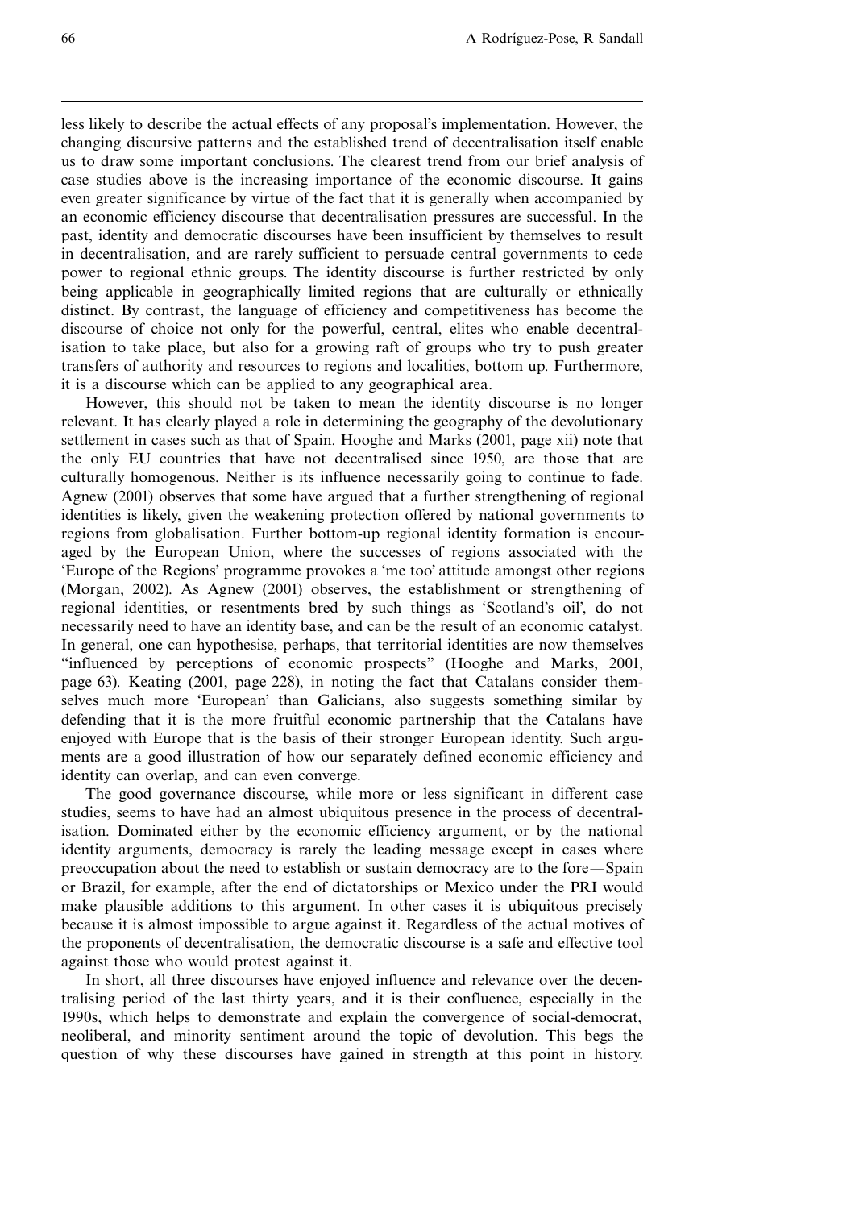less likely to describe the actual effects of any proposal's implementation. However, the changing discursive patterns and the established trend of decentralisation itself enable us to draw some important conclusions. The clearest trend from our brief analysis of case studies above is the increasing importance of the economic discourse. It gains even greater significance by virtue of the fact that it is generally when accompanied by an economic efficiency discourse that decentralisation pressures are successful. In the past, identity and democratic discourses have been insufficient by themselves to result in decentralisation, and are rarely sufficient to persuade central governments to cede power to regional ethnic groups. The identity discourse is further restricted by only being applicable in geographically limited regions that are culturally or ethnically distinct. By contrast, the language of efficiency and competitiveness has become the discourse of choice not only for the powerful, central, elites who enable decentralisation to take place, but also for a growing raft of groups who try to push greater transfers of authority and resources to regions and localities, bottom up. Furthermore, it is a discourse which can be applied to any geographical area.

However, this should not be taken to mean the identity discourse is no longer relevant. It has clearly played a role in determining the geography of the devolutionary settlement in cases such as that of Spain. Hooghe and Marks (2001, page xii) note that the only EU countries that have not decentralised since 1950, are those that are culturally homogenous. Neither is its influence necessarily going to continue to fade. Agnew (2001) observes that some have argued that a further strengthening of regional identities is likely, given the weakening protection offered by national governments to regions from globalisation. Further bottom-up regional identity formation is encouraged by the European Union, where the successes of regions associated with the `Europe of the Regions' programme provokes a `me too' attitude amongst other regions (Morgan, 2002). As Agnew (2001) observes, the establishment or strengthening of regional identities, or resentments bred by such things as 'Scotland's oil', do not necessarily need to have an identity base, and can be the result of an economic catalyst. In general, one can hypothesise, perhaps, that territorial identities are now themselves ``influenced by perceptions of economic prospects'' (Hooghe and Marks, 2001, page 63). Keating (2001, page 228), in noting the fact that Catalans consider themselves much more `European' than Galicians, also suggests something similar by defending that it is the more fruitful economic partnership that the Catalans have enjoyed with Europe that is the basis of their stronger European identity. Such arguments are a good illustration of how our separately defined economic efficiency and identity can overlap, and can even converge.

The good governance discourse, while more or less significant in different case studies, seems to have had an almost ubiquitous presence in the process of decentralisation. Dominated either by the economic efficiency argument, or by the national identity arguments, democracy is rarely the leading message except in cases where preoccupation about the need to establish or sustain democracy are to the fore—Spain or Brazil, for example, after the end of dictatorships or Mexico under the PRI would make plausible additions to this argument. In other cases it is ubiquitous precisely because it is almost impossible to argue against it. Regardless of the actual motives of the proponents of decentralisation, the democratic discourse is a safe and effective tool against those who would protest against it.

In short, all three discourses have enjoyed influence and relevance over the decentralising period of the last thirty years, and it is their confluence, especially in the 1990s, which helps to demonstrate and explain the convergence of social-democrat, neoliberal, and minority sentiment around the topic of devolution. This begs the question of why these discourses have gained in strength at this point in history.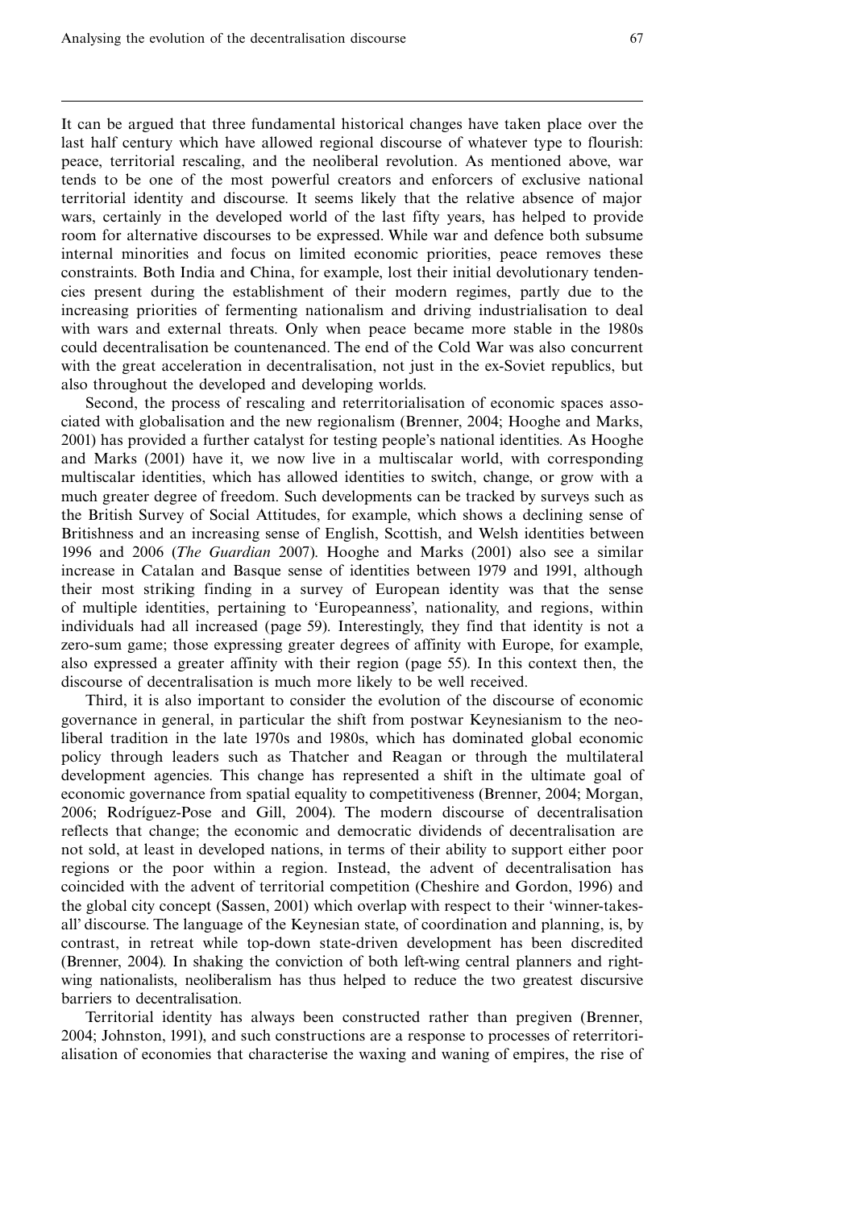It can be argued that three fundamental historical changes have taken place over the last half century which have allowed regional discourse of whatever type to flourish: peace, territorial rescaling, and the neoliberal revolution. As mentioned above, war tends to be one of the most powerful creators and enforcers of exclusive national territorial identity and discourse. It seems likely that the relative absence of major wars, certainly in the developed world of the last fifty years, has helped to provide room for alternative discourses to be expressed. While war and defence both subsume internal minorities and focus on limited economic priorities, peace removes these constraints. Both India and China, for example, lost their initial devolutionary tendencies present during the establishment of their modern regimes, partly due to the increasing priorities of fermenting nationalism and driving industrialisation to deal with wars and external threats. Only when peace became more stable in the 1980s could decentralisation be countenanced. The end of the Cold War was also concurrent with the great acceleration in decentralisation, not just in the ex-Soviet republics, but also throughout the developed and developing worlds.

Second, the process of rescaling and reterritorialisation of economic spaces associated with globalisation and the new regionalism (Brenner, 2004; Hooghe and Marks, 2001) has provided a further catalyst for testing people's national identities. As Hooghe and Marks (2001) have it, we now live in a multiscalar world, with corresponding multiscalar identities, which has allowed identities to switch, change, or grow with a much greater degree of freedom. Such developments can be tracked by surveys such as the British Survey of Social Attitudes, for example, which shows a declining sense of Britishness and an increasing sense of English, Scottish, and Welsh identities between 1996 and 2006 (The Guardian 2007). Hooghe and Marks (2001) also see a similar increase in Catalan and Basque sense of identities between 1979 and 1991, although their most striking finding in a survey of European identity was that the sense of multiple identities, pertaining to `Europeanness', nationality, and regions, within individuals had all increased (page 59). Interestingly, they find that identity is not a zero-sum game; those expressing greater degrees of affinity with Europe, for example, also expressed a greater affinity with their region (page 55). In this context then, the discourse of decentralisation is much more likely to be well received.

Third, it is also important to consider the evolution of the discourse of economic governance in general, in particular the shift from postwar Keynesianism to the neoliberal tradition in the late 1970s and 1980s, which has dominated global economic policy through leaders such as Thatcher and Reagan or through the multilateral development agencies. This change has represented a shift in the ultimate goal of economic governance from spatial equality to competitiveness (Brenner, 2004; Morgan, 2006; Rodríguez-Pose and Gill, 2004). The modern discourse of decentralisation reflects that change; the economic and democratic dividends of decentralisation are not sold, at least in developed nations, in terms of their ability to support either poor regions or the poor within a region. Instead, the advent of decentralisation has coincided with the advent of territorial competition (Cheshire and Gordon, 1996) and the global city concept (Sassen, 2001) which overlap with respect to their 'winner-takesall' discourse. The language of the Keynesian state, of coordination and planning, is, by contrast, in retreat while top-down state-driven development has been discredited (Brenner, 2004). In shaking the conviction of both left-wing central planners and rightwing nationalists, neoliberalism has thus helped to reduce the two greatest discursive barriers to decentralisation.

Territorial identity has always been constructed rather than pregiven (Brenner, 2004; Johnston, 1991), and such constructions are a response to processes of reterritorialisation of economies that characterise the waxing and waning of empires, the rise of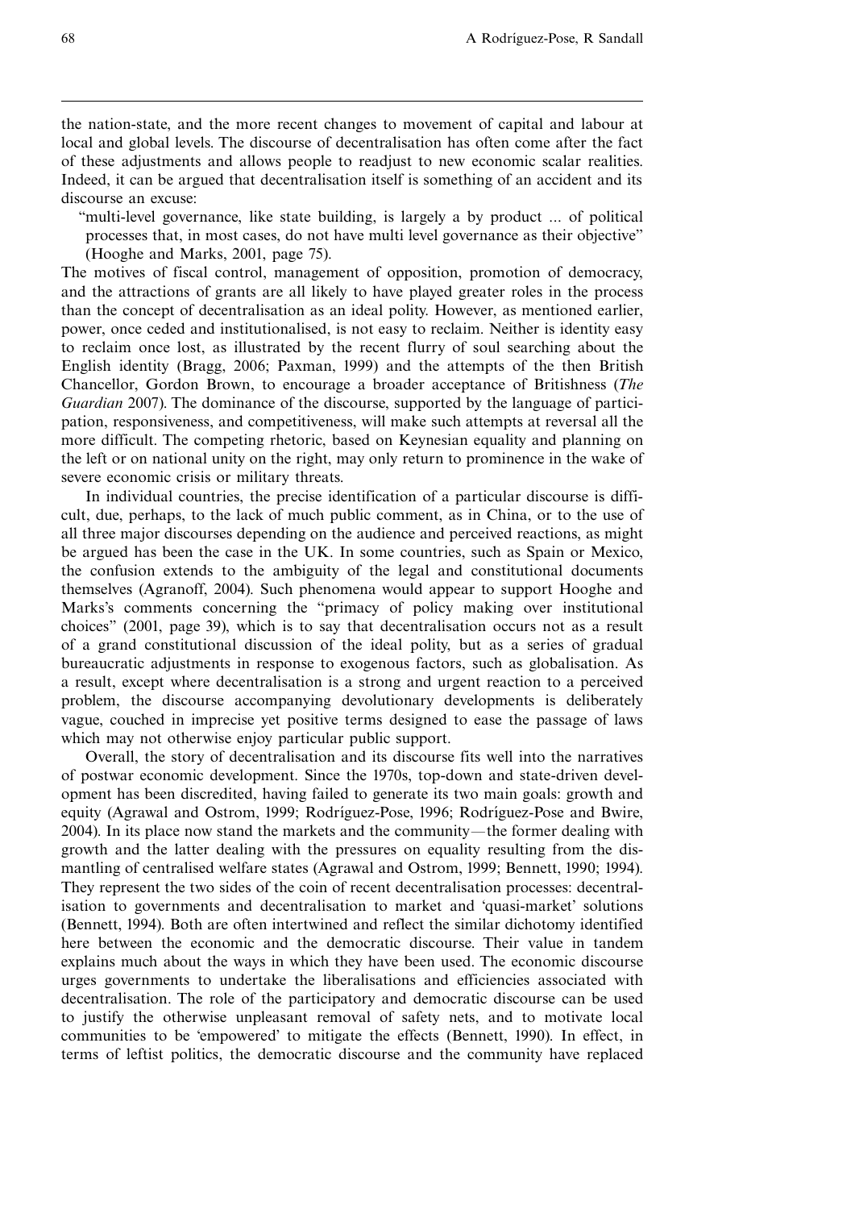the nation-state, and the more recent changes to movement of capital and labour at local and global levels. The discourse of decentralisation has often come after the fact of these adjustments and allows people to readjust to new economic scalar realities. Indeed, it can be argued that decentralisation itself is something of an accident and its discourse an excuse:

``multi-level governance, like state building, is largely a by product ... of political processes that, in most cases, do not have multi level governance as their objective'' (Hooghe and Marks, 2001, page 75).

The motives of fiscal control, management of opposition, promotion of democracy, and the attractions of grants are all likely to have played greater roles in the process than the concept of decentralisation as an ideal polity. However, as mentioned earlier, power, once ceded and institutionalised, is not easy to reclaim. Neither is identity easy to reclaim once lost, as illustrated by the recent flurry of soul searching about the English identity (Bragg, 2006; Paxman, 1999) and the attempts of the then British Chancellor, Gordon Brown, to encourage a broader acceptance of Britishness (The Guardian 2007). The dominance of the discourse, supported by the language of participation, responsiveness, and competitiveness, will make such attempts at reversal all the more difficult. The competing rhetoric, based on Keynesian equality and planning on the left or on national unity on the right, may only return to prominence in the wake of severe economic crisis or military threats.

In individual countries, the precise identification of a particular discourse is difficult, due, perhaps, to the lack of much public comment, as in China, or to the use of all three major discourses depending on the audience and perceived reactions, as might be argued has been the case in the UK. In some countries, such as Spain or Mexico, the confusion extends to the ambiguity of the legal and constitutional documents themselves (Agranoff, 2004). Such phenomena would appear to support Hooghe and Marks's comments concerning the "primacy of policy making over institutional choices'' (2001, page 39), which is to say that decentralisation occurs not as a result of a grand constitutional discussion of the ideal polity, but as a series of gradual bureaucratic adjustments in response to exogenous factors, such as globalisation. As a result, except where decentralisation is a strong and urgent reaction to a perceived problem, the discourse accompanying devolutionary developments is deliberately vague, couched in imprecise yet positive terms designed to ease the passage of laws which may not otherwise enjoy particular public support.

Overall, the story of decentralisation and its discourse fits well into the narratives of postwar economic development. Since the 1970s, top-down and state-driven development has been discredited, having failed to generate its two main goals: growth and equity (Agrawal and Ostrom, 1999; Rodríguez-Pose, 1996; Rodríguez-Pose and Bwire,  $2004$ ). In its place now stand the markets and the community—the former dealing with growth and the latter dealing with the pressures on equality resulting from the dismantling of centralised welfare states (Agrawal and Ostrom, 1999; Bennett, 1990; 1994). They represent the two sides of the coin of recent decentralisation processes: decentralisation to governments and decentralisation to market and 'quasi-market' solutions (Bennett, 1994). Both are often intertwined and reflect the similar dichotomy identified here between the economic and the democratic discourse. Their value in tandem explains much about the ways in which they have been used. The economic discourse urges governments to undertake the liberalisations and efficiencies associated with decentralisation. The role of the participatory and democratic discourse can be used to justify the otherwise unpleasant removal of safety nets, and to motivate local communities to be `empowered' to mitigate the effects (Bennett, 1990). In effect, in terms of leftist politics, the democratic discourse and the community have replaced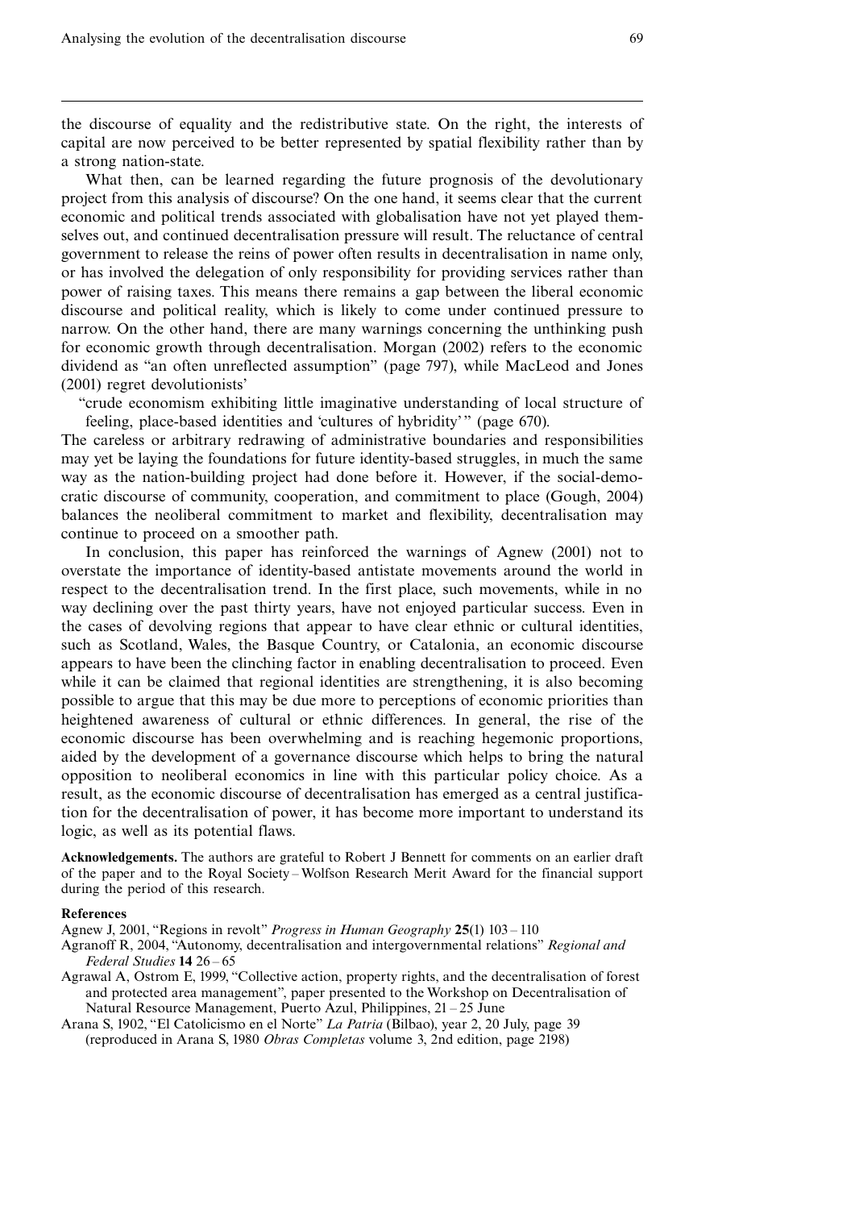the discourse of equality and the redistributive state. On the right, the interests of capital are now perceived to be better represented by spatial flexibility rather than by a strong nation-state.

What then, can be learned regarding the future prognosis of the devolutionary project from this analysis of discourse? On the one hand, it seems clear that the current economic and political trends associated with globalisation have not yet played themselves out, and continued decentralisation pressure will result. The reluctance of central government to release the reins of power often results in decentralisation in name only, or has involved the delegation of only responsibility for providing services rather than power of raising taxes. This means there remains a gap between the liberal economic discourse and political reality, which is likely to come under continued pressure to narrow. On the other hand, there are many warnings concerning the unthinking push for economic growth through decentralisation. Morgan (2002) refers to the economic dividend as "an often unreflected assumption" (page 797), while MacLeod and Jones (2001) regret devolutionists'

``crude economism exhibiting little imaginative understanding of local structure of feeling, place-based identities and `cultures of hybridity''' (page 670).

The careless or arbitrary redrawing of administrative boundaries and responsibilities may yet be laying the foundations for future identity-based struggles, in much the same way as the nation-building project had done before it. However, if the social-democratic discourse of community, cooperation, and commitment to place (Gough, 2004) balances the neoliberal commitment to market and flexibility, decentralisation may continue to proceed on a smoother path.

In conclusion, this paper has reinforced the warnings of Agnew (2001) not to overstate the importance of identity-based antistate movements around the world in respect to the decentralisation trend. In the first place, such movements, while in no way declining over the past thirty years, have not enjoyed particular success. Even in the cases of devolving regions that appear to have clear ethnic or cultural identities, such as Scotland, Wales, the Basque Country, or Catalonia, an economic discourse appears to have been the clinching factor in enabling decentralisation to proceed. Even while it can be claimed that regional identities are strengthening, it is also becoming possible to argue that this may be due more to perceptions of economic priorities than heightened awareness of cultural or ethnic differences. In general, the rise of the economic discourse has been overwhelming and is reaching hegemonic proportions, aided by the development of a governance discourse which helps to bring the natural opposition to neoliberal economics in line with this particular policy choice. As a result, as the economic discourse of decentralisation has emerged as a central justification for the decentralisation of power, it has become more important to understand its logic, as well as its potential flaws.

Acknowledgements. The authors are grateful to Robert J Bennett for comments on an earlier draft of the paper and to the Royal Society ^ Wolfson Research Merit Award for the financial support during the period of this research.

#### References

Agnew J, 2001, "Regions in revolt" *Progress in Human Geography*  $25(1)$  103 – 110

- Agranoff R, 2004, "Autonomy, decentralisation and intergovernmental relations" Regional and Federal Studies 14 26 - 65
- Agrawal A, Ostrom E, 1999, "Collective action, property rights, and the decentralisation of forest and protected area management'', paper presented to the Workshop on Decentralisation of Natural Resource Management, Puerto Azul, Philippines, 21 - 25 June
- Arana S, 1902, "El Catolicismo en el Norte" La Patria (Bilbao), year 2, 20 July, page 39 (reproduced in Arana S, 1980 Obras Completas volume 3, 2nd edition, page 2198)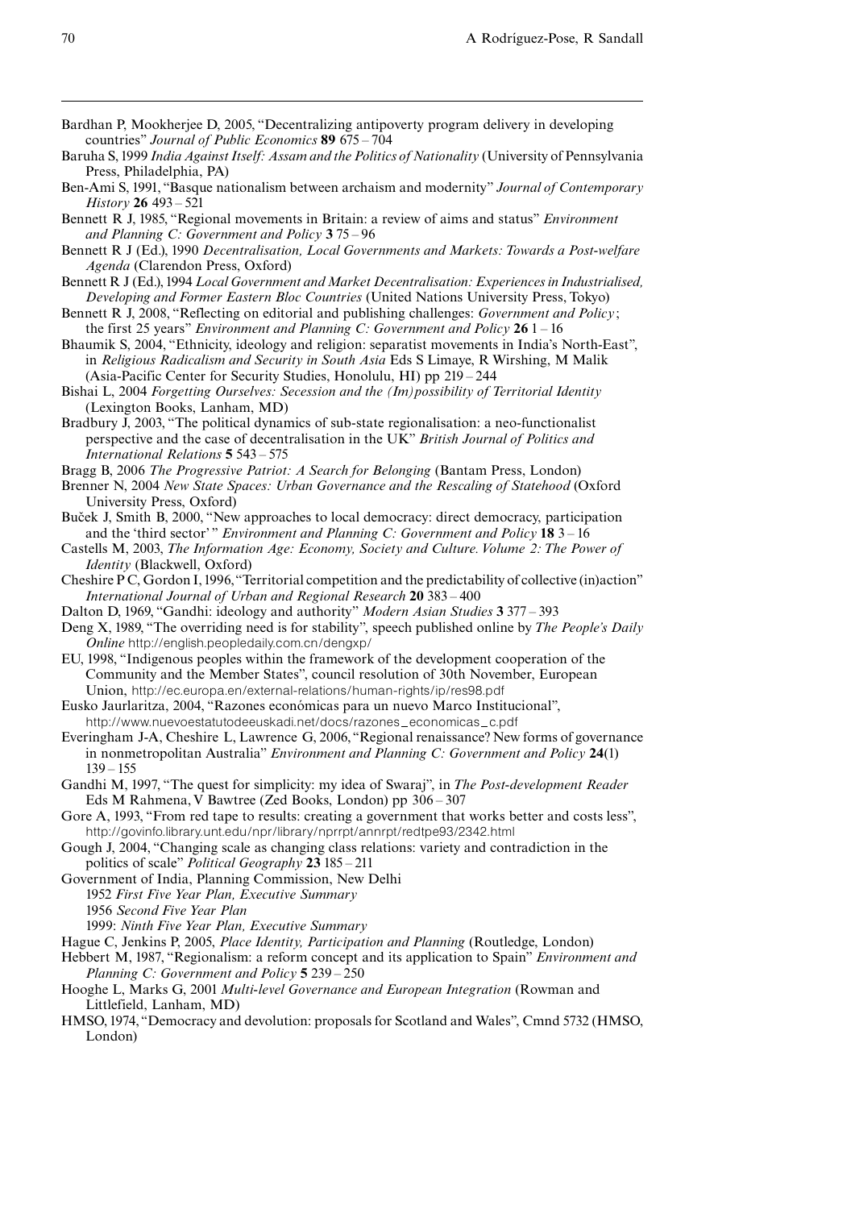- Bardhan P, Mookherjee D, 2005, "Decentralizing antipoverty program delivery in developing countries" Journal of Public Economics 89 675 - 704
- Baruha S, 1999 India Against Itself: Assam and the Politics of Nationality (University of Pennsylvania Press, Philadelphia, PA)
- Ben-Ami S, 1991, "Basque nationalism between archaism and modernity" Journal of Contemporary  $History 26 493 - 521$
- Bennett R J, 1985, "Regional movements in Britain: a review of aims and status" *Environment* and Planning C: Government and Policy  $375 - 96$
- Bennett R J (Ed.), 1990 Decentralisation, Local Governments and Markets: Towards a Post-welfare Agenda (Clarendon Press, Oxford)
- Bennett R J (Ed.), 1994 Local Government and Market Decentralisation: Experiences in Industrialised, Developing and Former Eastern Bloc Countries (United Nations University Press, Tokyo)
- Bennett R J, 2008, "Reflecting on editorial and publishing challenges: *Government and Policy*; the first 25 years" Environment and Planning C: Government and Policy  $26$  1 – 16
- Bhaumik S, 2004, "Ethnicity, ideology and religion: separatist movements in India's North-East", in Religious Radicalism and Security in South Asia Eds S Limaye, R Wirshing, M Malik (Asia-Pacific Center for Security Studies, Honolulu, HI) pp 219 ^ 244
- Bishai L, 2004 Forgetting Ourselves: Secession and the (Im)possibility of Territorial Identity (Lexington Books, Lanham, MD)
- Bradbury J, 2003, "The political dynamics of sub-state regionalisation: a neo-functionalist perspective and the case of decentralisation in the UK'' British Journal of Politics and International Relations 5 543 - 575
- Bragg B, 2006 The Progressive Patriot: A Search for Belonging (Bantam Press, London)
- Brenner N, 2004 New State Spaces: Urban Governance and the Rescaling of Statehood (Oxford University Press, Oxford)
- Buček J, Smith B, 2000, "New approaches to local democracy: direct democracy, participation and the 'third sector''' Environment and Planning C: Government and Policy  $183 - 16$
- Castells M, 2003, The Information Age: Economy, Society and Culture. Volume 2: The Power of Identity (Blackwell, Oxford)
- Cheshire P C, Gordon I,1996,``Territorial competition and the predictability of collective (in)action'' International Journal of Urban and Regional Research  $20\,383 - 400$
- Dalton D, 1969, "Gandhi: ideology and authority" Modern Asian Studies 3 377 393
- Deng X, 1989, "The overriding need is for stability", speech published online by The People's Daily Online http://english.peopledaily.com.cn/dengxp/
- EU, 1998, ``Indigenous peoples within the framework of the development cooperation of the Community and the Member States'', council resolution of 30th November, European Union, http://ec.europa.en/external-relations/human-rights/ip/res98.pdf
- Eusko Jaurlaritza, 2004, "Razones económicas para un nuevo Marco Institucional", http://www.nuevoestatutodeeuskadi.net/docs/razones\_economicas\_c.pdf
- Everingham J-A, Cheshire L, Lawrence G, 2006, "Regional renaissance? New forms of governance in nonmetropolitan Australia" *Environment and Planning C: Government and Policy* 24(1)  $139 - 155$
- Gandhi M, 1997, "The quest for simplicity: my idea of Swaraj", in The Post-development Reader Eds M Rahmena, V Bawtree (Zed Books, London) pp 306 ^ 307
- Gore A, 1993, "From red tape to results: creating a government that works better and costs less". http://govinfo.library.unt.edu/npr/library/nprrpt/annrpt/redtpe93/2342.html
- Gough J, 2004, "Changing scale as changing class relations: variety and contradiction in the politics of scale" *Political Geography*  $23 \frac{185 - 211}{211}$
- Government of India, Planning Commission, New Delhi 1952 First Five Year Plan, Executive Summary 1956 Second Five Year Plan 1999: Ninth Five Year Plan, Executive Summary
- Hague C, Jenkins P, 2005, Place Identity, Participation and Planning (Routledge, London)
- Hebbert M, 1987, "Regionalism: a reform concept and its application to Spain" *Environment and* Planning C: Government and Policy  $5239 - 250$
- Hooghe L, Marks G, 2001 Multi-level Governance and European Integration (Rowman and Littlefield, Lanham, MD)
- HMSO, 1974, "Democracy and devolution: proposals for Scotland and Wales", Cmnd 5732 (HMSO, London)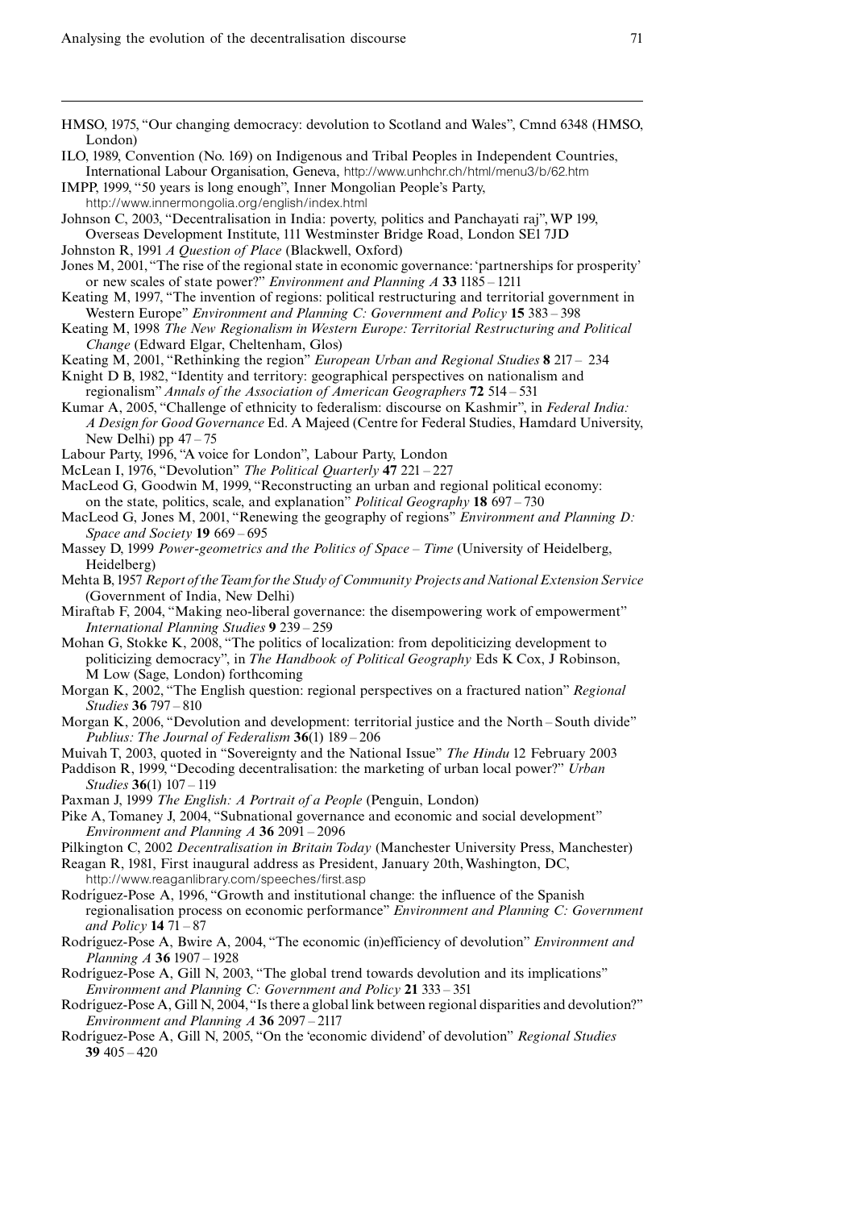HMSO, 1975, "Our changing democracy: devolution to Scotland and Wales", Cmnd 6348 (HMSO, London)

ILO, 1989, Convention (No. 169) on Indigenous and Tribal Peoples in Independent Countries, International Labour Organisation, Geneva, http://www.unhchr.ch/html/menu3/b/62.htm

IMPP, 1999, "50 years is long enough", Inner Mongolian People's Party, http://www.innermongolia.org/english/index.html

Johnson C, 2003, "Decentralisation in India: poverty, politics and Panchayati raj", WP 199, Overseas Development Institute, 111 Westminster Bridge Road, London SE1 7JD

Johnston R, 1991 A Question of Place (Blackwell, Oxford)

- Jones M, 2001, "The rise of the regional state in economic governance: 'partnerships for prosperity' or new scales of state power?" *Environment and Planning A* 33  $1185 - 1211$
- Keating M, 1997, "The invention of regions: political restructuring and territorial government in Western Europe" Environment and Planning C: Government and Policy 15 383 - 398
- Keating M, 1998 The New Regionalism in Western Europe: Territorial Restructuring and Political Change (Edward Elgar, Cheltenham, Glos)
- Keating M, 2001, "Rethinking the region" *European Urban and Regional Studies* 8 217 234
- Knight D B, 1982, "Identity and territory: geographical perspectives on nationalism and regionalism" Annals of the Association of American Geographers 72 514 - 531
- Kumar A, 2005, "Challenge of ethnicity to federalism: discourse on Kashmir", in Federal India: A Design for Good Governance Ed. A Majeed (Centre for Federal Studies, Hamdard University, New Delhi) pp  $47 - 75$
- Labour Party, 1996, "A voice for London", Labour Party, London
- McLean I, 1976, "Devolution" The Political Quarterly  $47$  221 227
- MacLeod G, Goodwin M, 1999, "Reconstructing an urban and regional political economy: on the state, politics, scale, and explanation" *Political Geography* 18 697 – 730
- MacLeod G, Jones M, 2001, "Renewing the geography of regions" Environment and Planning D: Space and Society 19 669 - 695
- Massey D, 1999 Power-geometrics and the Politics of Space Time (University of Heidelberg, Heidelberg)
- Mehta B, 1957 Report of the Team for the Study of Community Projects and National Extension Service (Government of India, New Delhi)
- Miraftab F, 2004, "Making neo-liberal governance: the disempowering work of empowerment" International Planning Studies 9 239 - 259
- Mohan G, Stokke K, 2008, "The politics of localization: from depoliticizing development to politicizing democracy", in The Handbook of Political Geography Eds K Cox, J Robinson, M Low (Sage, London) forthcoming
- Morgan K, 2002, "The English question: regional perspectives on a fractured nation" Regional Studies 36 797 - 810
- Morgan K, 2006, "Devolution and development: territorial justice and the North South divide" Publius: The Journal of Federalism  $36(1)$  189 - 206
- Muivah T, 2003, quoted in "Sovereignty and the National Issue" The Hindu 12 February 2003

Paddison R, 1999, "Decoding decentralisation: the marketing of urban local power?" Urban Studies 36(1) 107 - 119

Paxman J, 1999 The English: A Portrait of a People (Penguin, London)

- Pike A, Tomaney J, 2004, "Subnational governance and economic and social development" Environment and Planning  $A$  36 2091 - 2096
- Pilkington C, 2002 Decentralisation in Britain Today (Manchester University Press, Manchester)

Reagan R, 1981, First inaugural address as President, January 20th,Washington, DC, http://www.reaganlibrary.com/speeches/first.asp

- Rodríguez-Pose A, 1996, "Growth and institutional change: the influence of the Spanish regionalisation process on economic performance'' Environment and Planning C: Government and Policy  $1471 - 87$
- Rodríguez-Pose A, Bwire A, 2004, "The economic (in)efficiency of devolution" *Environment and* Planning  $A$  36 1907 – 1928
- Rodríguez-Pose A, Gill N, 2003, "The global trend towards devolution and its implications" Environment and Planning C: Government and Policy 21 333 - 351
- Rodríguez-Pose A, Gill N, 2004, "Is there a global link between regional disparities and devolution?" Environment and Planning  $\ddot{A}$  36 2097 – 2117
- Rodríguez-Pose A, Gill N, 2005, "On the 'economic dividend' of devolution" Regional Studies 39  $405 - 420$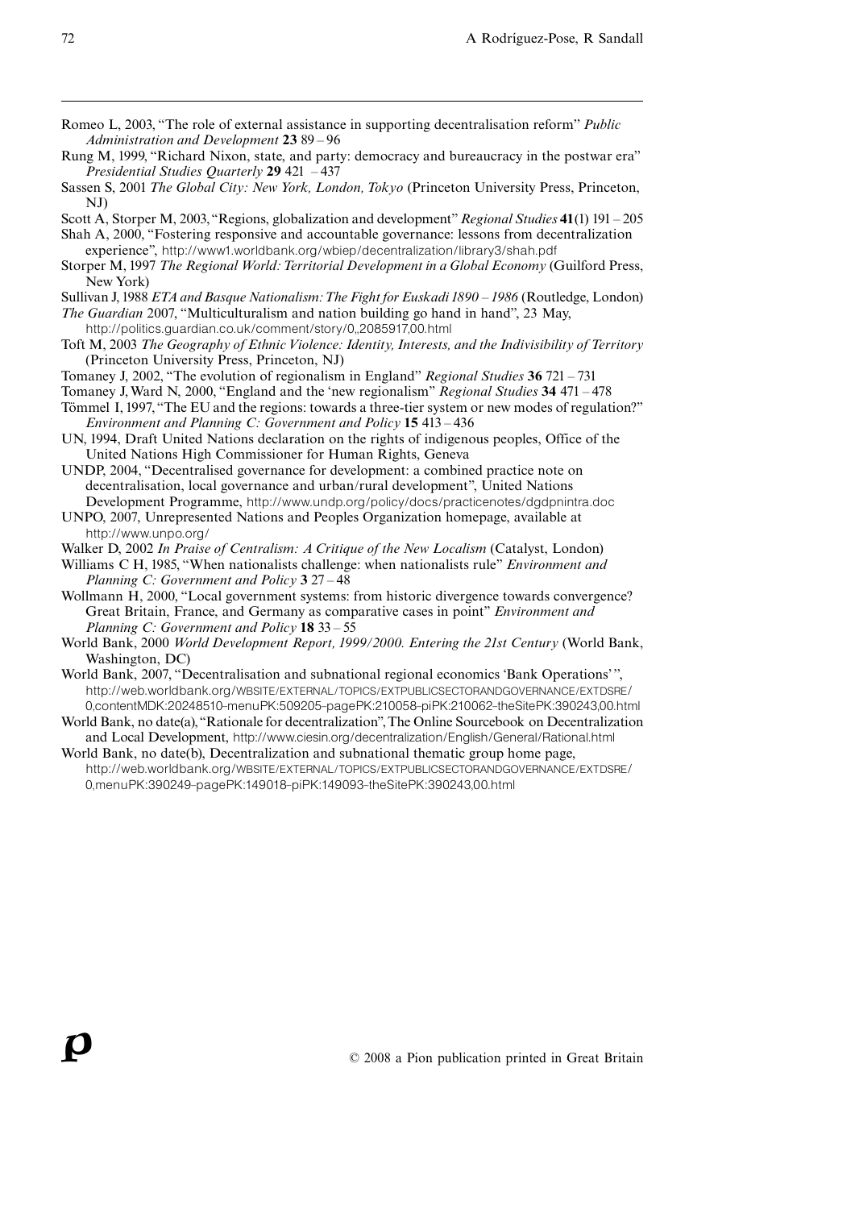Romeo L, 2003, "The role of external assistance in supporting decentralisation reform" *Public* Administration and Development 23 89 - 96

- Rung M, 1999, "Richard Nixon, state, and party: democracy and bureaucracy in the postwar era" Presidential Studies Quarterly  $29$  421  $-437$
- Sassen S, 2001 The Global City: New York, London, Tokyo (Princeton University Press, Princeton, NJ)

Scott A, Storper M, 2003, "Regions, globalization and development" Regional Studies 41(1) 191 - 205 Shah A, 2000, "Fostering responsive and accountable governance: lessons from decentralization

experience'', http://www1.worldbank.org/wbiep/decentralization/library3/shah.pdf

Storper M, 1997 The Regional World: Territorial Development in a Global Economy (Guilford Press, New York)

Sullivan J, 1988 ETA and Basque Nationalism: The Fight for Euskadi 1890 - 1986 (Routledge, London)

The Guardian 2007, "Multiculturalism and nation building go hand in hand", 23 May, http://politics.guardian.co.uk/comment/story/0,,2085917,00.html

- Toft M, 2003 The Geography of Ethnic Violence: Identity, Interests, and the Indivisibility of Territory (Princeton University Press, Princeton, NJ)
- Tomaney J, 2002, "The evolution of regionalism in England" Regional Studies 36 721 731
- Tomaney J, Ward N, 2000, "England and the 'new regionalism" Regional Studies 34 471 478
- Tömmel I, 1997, "The EU and the regions: towards a three-tier system or new modes of regulation?" Environment and Planning C: Government and Policy  $15$  413 - 436
- UN, 1994, Draft United Nations declaration on the rights of indigenous peoples, Office of the United Nations High Commissioner for Human Rights, Geneva
- UNDP, 2004, ``Decentralised governance for development: a combined practice note on decentralisation, local governance and urban/rural development'', United Nations Development Programme, http://www.undp.org/policy/docs/practicenotes/dgdpnintra.doc
- UNPO, 2007, Unrepresented Nations and Peoples Organization homepage, available at http://www.unpo.org/
- Walker D, 2002 In Praise of Centralism: A Critique of the New Localism (Catalyst, London)

Williams C H, 1985, "When nationalists challenge: when nationalists rule" *Environment and* Planning C: Government and Policy  $327 - 48$ 

Wollmann H, 2000, "Local government systems: from historic divergence towards convergence? Great Britain, France, and Germany as comparative cases in point'' Environment and Planning C: Government and Policy  $18$  33 - 55

World Bank, 2000 World Development Report, 1999/2000. Entering the 21st Century (World Bank, Washington, DC)

- World Bank, 2007, "Decentralisation and subnational regional economics 'Bank Operations'", http://web.worldbank.org/WBSITE/EXTERNAL/TOPICS/EXTPUBLICSECTORANDGOVERNANCE/EXTDSRE/ 0,contentMDK:20248510~menuPK:509205~pagePK:210058~piPK:210062~theSitePK:390243,00.html
- World Bank, no date(a), "Rationale for decentralization", The Online Sourcebook on Decentralization and Local Development, http://www.ciesin.org/decentralization/English/General/Rational.html

World Bank, no date(b), Decentralization and subnational thematic group home page, http://web.worldbank.org/WBSITE/EXTERNAL/TOPICS/EXTPUBLICSECTORANDGOVERNANCE/EXTDSRE/ 0,menuPK:390249~pagePK:149018~piPK:149093~theSitePK:390243,00.html